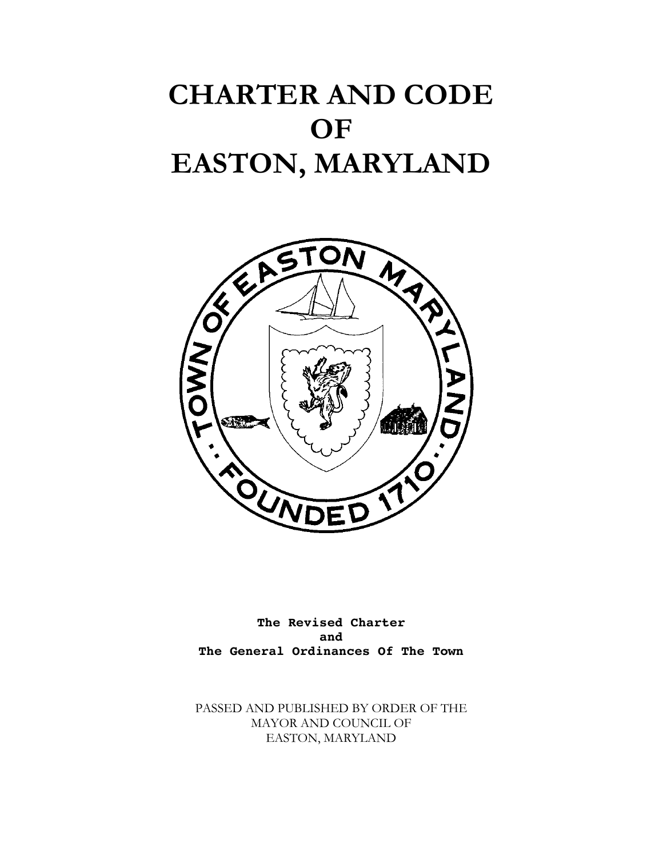# **CHARTER AND CODE OF EASTON, MARYLAND**



**The Revised Charter and The General Ordinances Of The Town**

PASSED AND PUBLISHED BY ORDER OF THE MAYOR AND COUNCIL OF EASTON, MARYLAND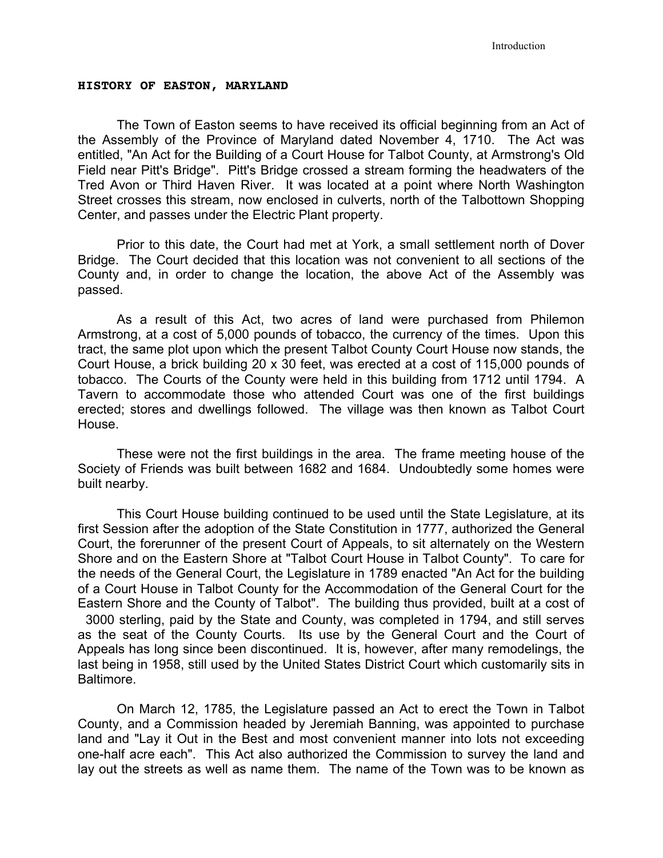## **HISTORY OF EASTON, MARYLAND**

The Town of Easton seems to have received its official beginning from an Act of the Assembly of the Province of Maryland dated November 4, 1710. The Act was entitled, "An Act for the Building of a Court House for Talbot County, at Armstrong's Old Field near Pitt's Bridge". Pitt's Bridge crossed a stream forming the headwaters of the Tred Avon or Third Haven River. It was located at a point where North Washington Street crosses this stream, now enclosed in culverts, north of the Talbottown Shopping Center, and passes under the Electric Plant property.

Prior to this date, the Court had met at York, a small settlement north of Dover Bridge. The Court decided that this location was not convenient to all sections of the County and, in order to change the location, the above Act of the Assembly was passed.

As a result of this Act, two acres of land were purchased from Philemon Armstrong, at a cost of 5,000 pounds of tobacco, the currency of the times. Upon this tract, the same plot upon which the present Talbot County Court House now stands, the Court House, a brick building 20 x 30 feet, was erected at a cost of 115,000 pounds of tobacco. The Courts of the County were held in this building from 1712 until 1794. A Tavern to accommodate those who attended Court was one of the first buildings erected; stores and dwellings followed. The village was then known as Talbot Court House.

These were not the first buildings in the area. The frame meeting house of the Society of Friends was built between 1682 and 1684. Undoubtedly some homes were built nearby.

This Court House building continued to be used until the State Legislature, at its first Session after the adoption of the State Constitution in 1777, authorized the General Court, the forerunner of the present Court of Appeals, to sit alternately on the Western Shore and on the Eastern Shore at "Talbot Court House in Talbot County". To care for the needs of the General Court, the Legislature in 1789 enacted "An Act for the building of a Court House in Talbot County for the Accommodation of the General Court for the Eastern Shore and the County of Talbot". The building thus provided, built at a cost of 3000 sterling, paid by the State and County, was completed in 1794, and still serves as the seat of the County Courts. Its use by the General Court and the Court of Appeals has long since been discontinued. It is, however, after many remodelings, the last being in 1958, still used by the United States District Court which customarily sits in Baltimore.

On March 12, 1785, the Legislature passed an Act to erect the Town in Talbot County, and a Commission headed by Jeremiah Banning, was appointed to purchase land and "Lay it Out in the Best and most convenient manner into lots not exceeding one-half acre each". This Act also authorized the Commission to survey the land and lay out the streets as well as name them. The name of the Town was to be known as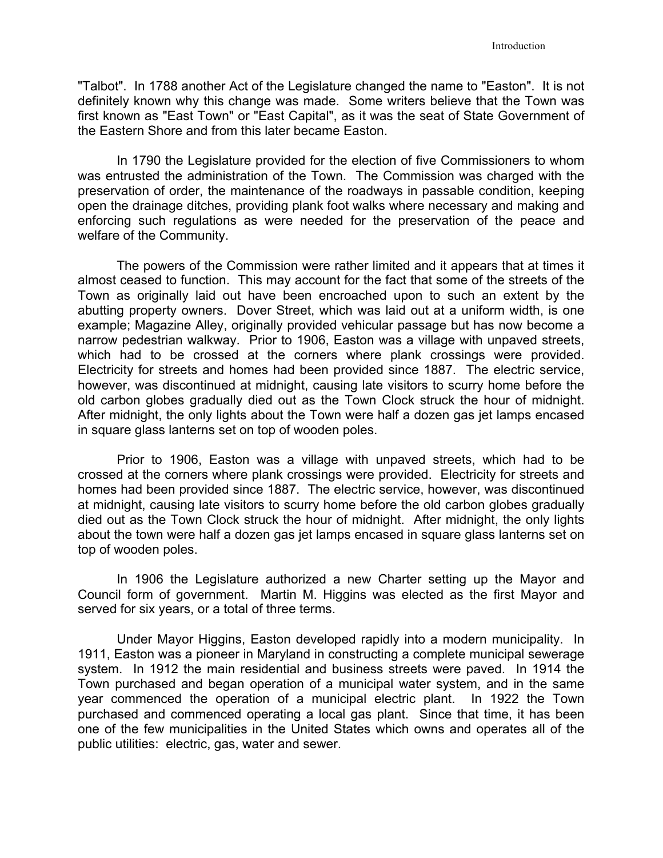"Talbot". In 1788 another Act of the Legislature changed the name to "Easton". It is not definitely known why this change was made. Some writers believe that the Town was first known as "East Town" or "East Capital", as it was the seat of State Government of the Eastern Shore and from this later became Easton.

In 1790 the Legislature provided for the election of five Commissioners to whom was entrusted the administration of the Town. The Commission was charged with the preservation of order, the maintenance of the roadways in passable condition, keeping open the drainage ditches, providing plank foot walks where necessary and making and enforcing such regulations as were needed for the preservation of the peace and welfare of the Community.

The powers of the Commission were rather limited and it appears that at times it almost ceased to function. This may account for the fact that some of the streets of the Town as originally laid out have been encroached upon to such an extent by the abutting property owners. Dover Street, which was laid out at a uniform width, is one example; Magazine Alley, originally provided vehicular passage but has now become a narrow pedestrian walkway. Prior to 1906, Easton was a village with unpaved streets, which had to be crossed at the corners where plank crossings were provided. Electricity for streets and homes had been provided since 1887. The electric service, however, was discontinued at midnight, causing late visitors to scurry home before the old carbon globes gradually died out as the Town Clock struck the hour of midnight. After midnight, the only lights about the Town were half a dozen gas jet lamps encased in square glass lanterns set on top of wooden poles.

Prior to 1906, Easton was a village with unpaved streets, which had to be crossed at the corners where plank crossings were provided. Electricity for streets and homes had been provided since 1887. The electric service, however, was discontinued at midnight, causing late visitors to scurry home before the old carbon globes gradually died out as the Town Clock struck the hour of midnight. After midnight, the only lights about the town were half a dozen gas jet lamps encased in square glass lanterns set on top of wooden poles.

In 1906 the Legislature authorized a new Charter setting up the Mayor and Council form of government. Martin M. Higgins was elected as the first Mayor and served for six years, or a total of three terms.

Under Mayor Higgins, Easton developed rapidly into a modern municipality. In 1911, Easton was a pioneer in Maryland in constructing a complete municipal sewerage system. In 1912 the main residential and business streets were paved. In 1914 the Town purchased and began operation of a municipal water system, and in the same year commenced the operation of a municipal electric plant. In 1922 the Town purchased and commenced operating a local gas plant. Since that time, it has been one of the few municipalities in the United States which owns and operates all of the public utilities: electric, gas, water and sewer.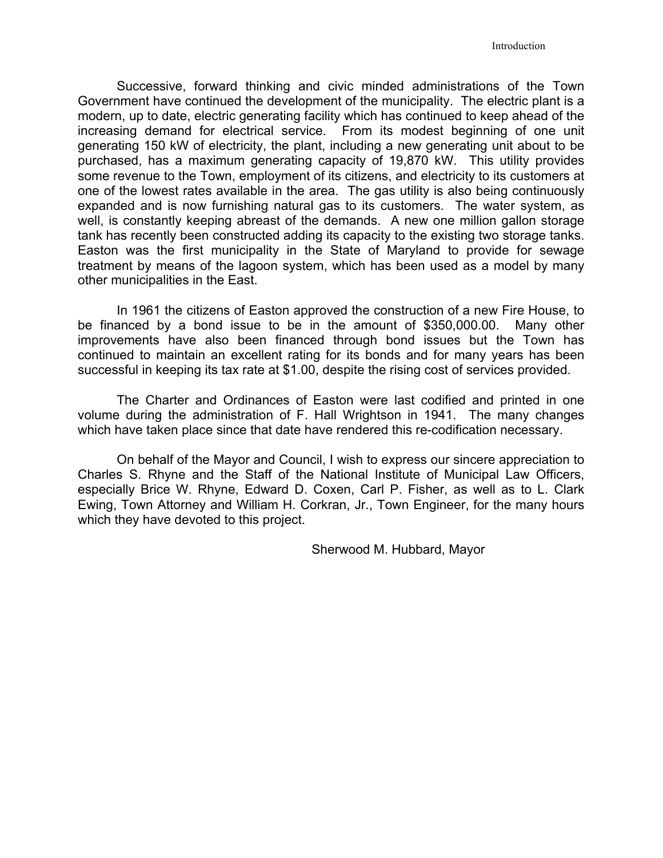Successive, forward thinking and civic minded administrations of the Town Government have continued the development of the municipality. The electric plant is a modern, up to date, electric generating facility which has continued to keep ahead of the increasing demand for electrical service. From its modest beginning of one unit generating 150 kW of electricity, the plant, including a new generating unit about to be purchased, has a maximum generating capacity of 19,870 kW. This utility provides some revenue to the Town, employment of its citizens, and electricity to its customers at one of the lowest rates available in the area. The gas utility is also being continuously expanded and is now furnishing natural gas to its customers. The water system, as well, is constantly keeping abreast of the demands. A new one million gallon storage tank has recently been constructed adding its capacity to the existing two storage tanks. Easton was the first municipality in the State of Maryland to provide for sewage treatment by means of the lagoon system, which has been used as a model by many other municipalities in the East.

In 1961 the citizens of Easton approved the construction of a new Fire House, to be financed by a bond issue to be in the amount of \$350,000.00. Many other improvements have also been financed through bond issues but the Town has continued to maintain an excellent rating for its bonds and for many years has been successful in keeping its tax rate at \$1.00, despite the rising cost of services provided.

The Charter and Ordinances of Easton were last codified and printed in one volume during the administration of F. Hall Wrightson in 1941. The many changes which have taken place since that date have rendered this re-codification necessary.

On behalf of the Mayor and Council, I wish to express our sincere appreciation to Charles S. Rhyne and the Staff of the National Institute of Municipal Law Officers, especially Brice W. Rhyne, Edward D. Coxen, Carl P. Fisher, as well as to L. Clark Ewing, Town Attorney and William H. Corkran, Jr., Town Engineer, for the many hours which they have devoted to this project.

Sherwood M. Hubbard, Mayor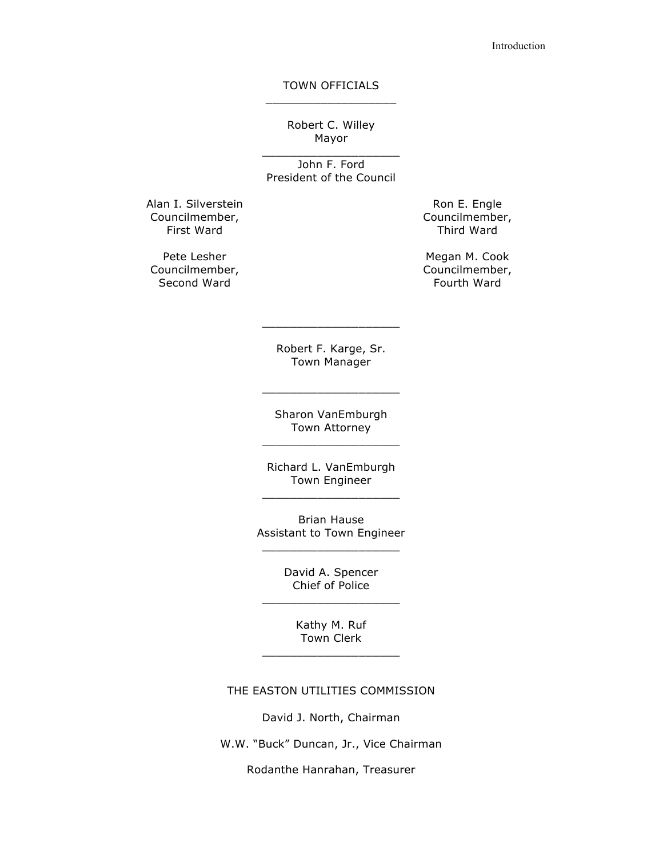## TOWN OFFICIALS  $\_$

Robert C. Willey Mayor

 $\_$ John F. Ford President of the Council

Alan I. Silverstein Councilmember, First Ward

Pete Lesher Councilmember, Second Ward

Ron E. Engle Councilmember, Third Ward

Megan M. Cook Councilmember, Fourth Ward

Robert F. Karge, Sr. Town Manager

 $\_$ 

Sharon VanEmburgh Town Attorney  $\_$ 

 $\_$ 

Richard L. VanEmburgh Town Engineer  $\_$ 

Brian Hause Assistant to Town Engineer  $\_$ 

David A. Spencer Chief of Police  $\_$ 

Kathy M. Ruf Town Clerk  $\_$ 

## THE EASTON UTILITIES COMMISSION

David J. North, Chairman

W.W. "Buck" Duncan, Jr., Vice Chairman

Rodanthe Hanrahan, Treasurer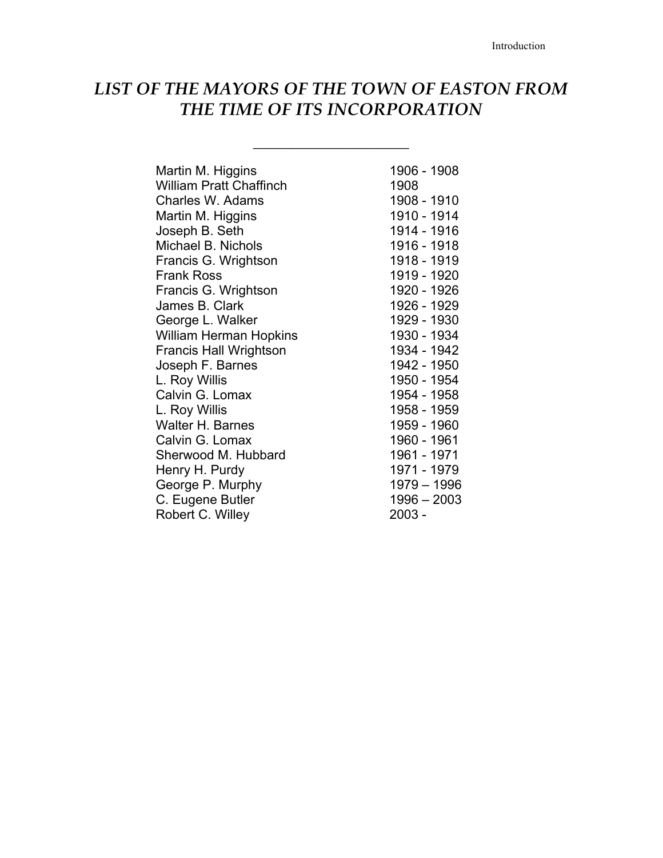## *LIST OF THE MAYORS OF THE TOWN OF EASTON FROM THE TIME OF ITS INCORPORATION*

\_\_\_\_\_\_\_\_\_\_\_\_\_\_\_\_\_\_\_\_

| Martin M. Higgins              | 1906 - 1908   |
|--------------------------------|---------------|
| <b>William Pratt Chaffinch</b> | 1908          |
| Charles W. Adams               | 1908 - 1910   |
| Martin M. Higgins              | 1910 - 1914   |
| Joseph B. Seth                 | 1914 - 1916   |
| Michael B. Nichols             | 1916 - 1918   |
| Francis G. Wrightson           | 1918 - 1919   |
| <b>Frank Ross</b>              | 1919 - 1920   |
|                                |               |
| Francis G. Wrightson           | 1920 - 1926   |
| James B. Clark                 | 1926 - 1929   |
| George L. Walker               | 1929 - 1930   |
| <b>William Herman Hopkins</b>  | 1930 - 1934   |
| <b>Francis Hall Wrightson</b>  | 1934 - 1942   |
| Joseph F. Barnes               | 1942 - 1950   |
| L. Roy Willis                  | 1950 - 1954   |
| Calvin G. Lomax                | 1954 - 1958   |
| L. Roy Willis                  | 1958 - 1959   |
| Walter H. Barnes               | 1959 - 1960   |
| Calvin G. Lomax                | 1960 - 1961   |
| Sherwood M. Hubbard            | 1961 - 1971   |
| Henry H. Purdy                 | 1971 - 1979   |
| George P. Murphy               | 1979 - 1996   |
|                                | $1996 - 2003$ |
| C. Eugene Butler               |               |
| Robert C. Willey               | 2003 -        |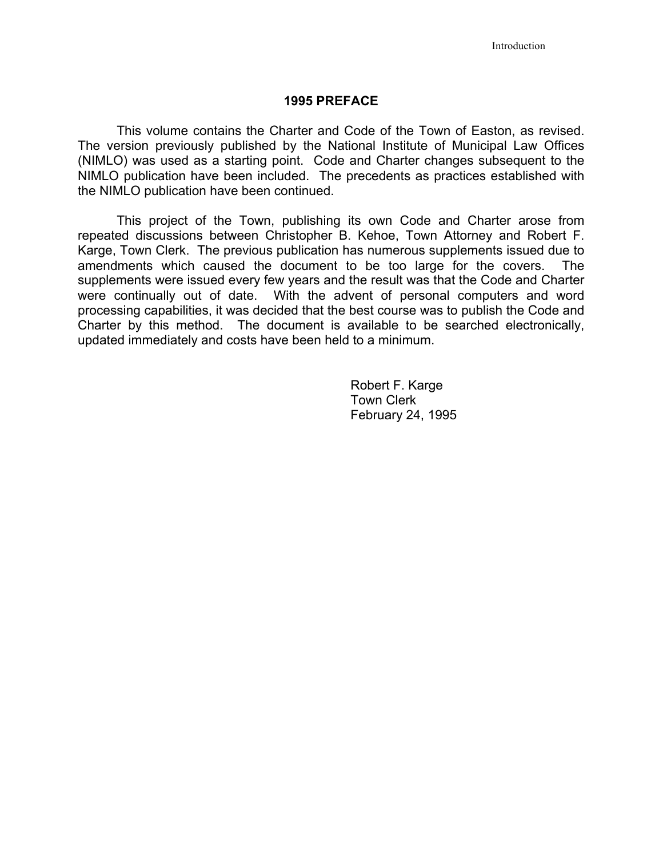## **1995 PREFACE**

This volume contains the Charter and Code of the Town of Easton, as revised. The version previously published by the National Institute of Municipal Law Offices (NIMLO) was used as a starting point. Code and Charter changes subsequent to the NIMLO publication have been included. The precedents as practices established with the NIMLO publication have been continued.

This project of the Town, publishing its own Code and Charter arose from repeated discussions between Christopher B. Kehoe, Town Attorney and Robert F. Karge, Town Clerk. The previous publication has numerous supplements issued due to amendments which caused the document to be too large for the covers. The supplements were issued every few years and the result was that the Code and Charter were continually out of date. With the advent of personal computers and word processing capabilities, it was decided that the best course was to publish the Code and Charter by this method. The document is available to be searched electronically, updated immediately and costs have been held to a minimum.

> Robert F. Karge Town Clerk February 24, 1995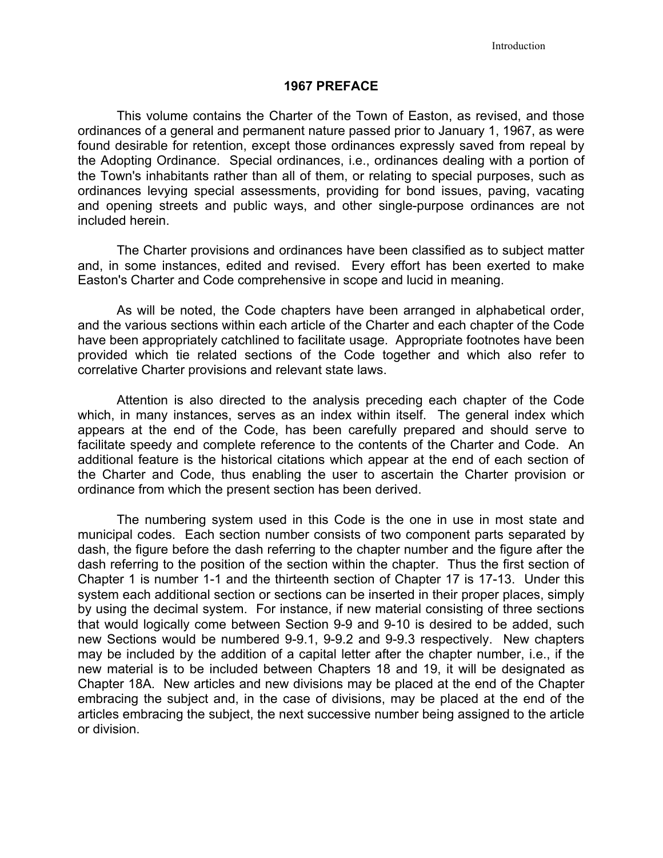## **1967 PREFACE**

This volume contains the Charter of the Town of Easton, as revised, and those ordinances of a general and permanent nature passed prior to January 1, 1967, as were found desirable for retention, except those ordinances expressly saved from repeal by the Adopting Ordinance. Special ordinances, i.e., ordinances dealing with a portion of the Town's inhabitants rather than all of them, or relating to special purposes, such as ordinances levying special assessments, providing for bond issues, paving, vacating and opening streets and public ways, and other single-purpose ordinances are not included herein.

The Charter provisions and ordinances have been classified as to subject matter and, in some instances, edited and revised. Every effort has been exerted to make Easton's Charter and Code comprehensive in scope and lucid in meaning.

As will be noted, the Code chapters have been arranged in alphabetical order, and the various sections within each article of the Charter and each chapter of the Code have been appropriately catchlined to facilitate usage. Appropriate footnotes have been provided which tie related sections of the Code together and which also refer to correlative Charter provisions and relevant state laws.

Attention is also directed to the analysis preceding each chapter of the Code which, in many instances, serves as an index within itself. The general index which appears at the end of the Code, has been carefully prepared and should serve to facilitate speedy and complete reference to the contents of the Charter and Code. An additional feature is the historical citations which appear at the end of each section of the Charter and Code, thus enabling the user to ascertain the Charter provision or ordinance from which the present section has been derived.

The numbering system used in this Code is the one in use in most state and municipal codes. Each section number consists of two component parts separated by dash, the figure before the dash referring to the chapter number and the figure after the dash referring to the position of the section within the chapter. Thus the first section of Chapter 1 is number 1-1 and the thirteenth section of Chapter 17 is 17-13. Under this system each additional section or sections can be inserted in their proper places, simply by using the decimal system. For instance, if new material consisting of three sections that would logically come between Section 9-9 and 9-10 is desired to be added, such new Sections would be numbered 9-9.1, 9-9.2 and 9-9.3 respectively. New chapters may be included by the addition of a capital letter after the chapter number, i.e., if the new material is to be included between Chapters 18 and 19, it will be designated as Chapter 18A. New articles and new divisions may be placed at the end of the Chapter embracing the subject and, in the case of divisions, may be placed at the end of the articles embracing the subject, the next successive number being assigned to the article or division.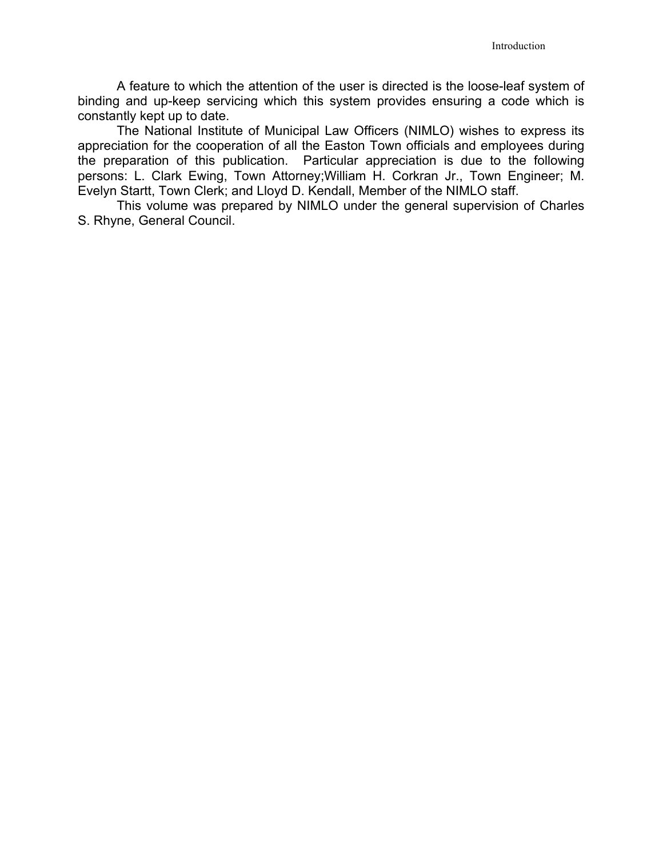A feature to which the attention of the user is directed is the loose-leaf system of binding and up-keep servicing which this system provides ensuring a code which is constantly kept up to date.

The National Institute of Municipal Law Officers (NIMLO) wishes to express its appreciation for the cooperation of all the Easton Town officials and employees during the preparation of this publication. Particular appreciation is due to the following persons: L. Clark Ewing, Town Attorney;William H. Corkran Jr., Town Engineer; M. Evelyn Startt, Town Clerk; and Lloyd D. Kendall, Member of the NIMLO staff.

This volume was prepared by NIMLO under the general supervision of Charles S. Rhyne, General Council.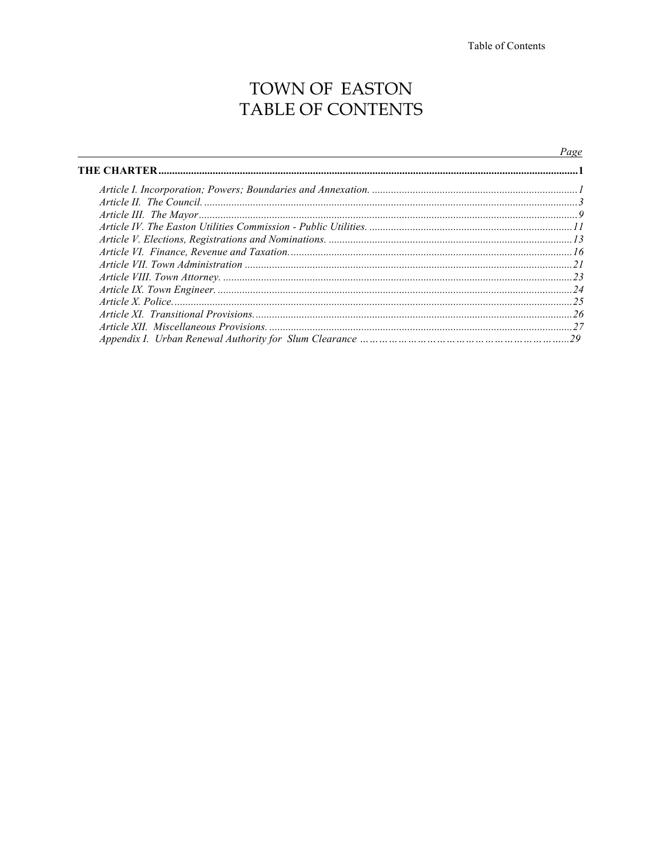## TOWN OF EASTON TABLE OF CONTENTS

## Page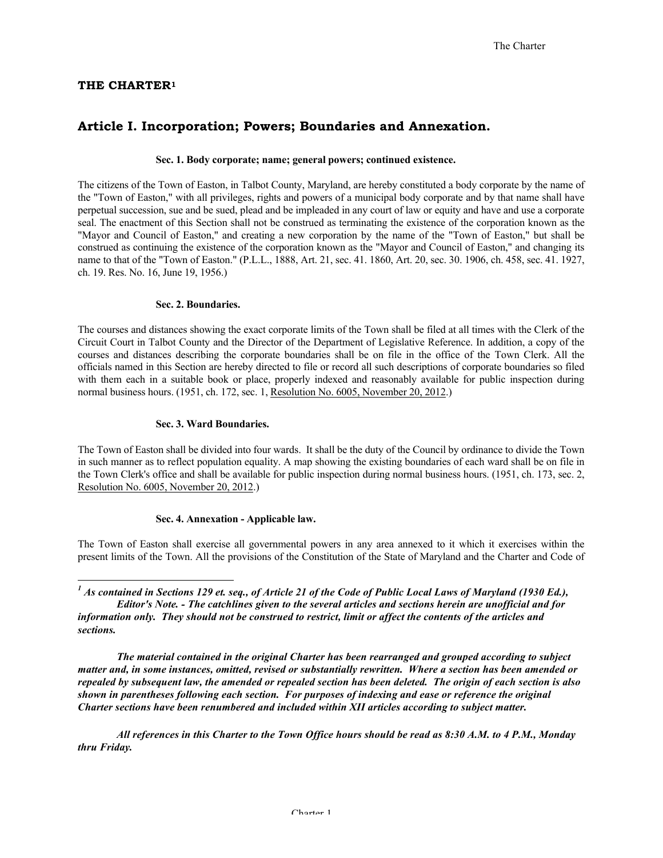#### **THE CHARTER1**

## **Article I. Incorporation; Powers; Boundaries and Annexation.**

#### **Sec. 1. Body corporate; name; general powers; continued existence.**

The citizens of the Town of Easton, in Talbot County, Maryland, are hereby constituted a body corporate by the name of the "Town of Easton," with all privileges, rights and powers of a municipal body corporate and by that name shall have perpetual succession, sue and be sued, plead and be impleaded in any court of law or equity and have and use a corporate seal. The enactment of this Section shall not be construed as terminating the existence of the corporation known as the "Mayor and Council of Easton," and creating a new corporation by the name of the "Town of Easton," but shall be construed as continuing the existence of the corporation known as the "Mayor and Council of Easton," and changing its name to that of the "Town of Easton." (P.L.L., 1888, Art. 21, sec. 41. 1860, Art. 20, sec. 30. 1906, ch. 458, sec. 41. 1927, ch. 19. Res. No. 16, June 19, 1956.)

#### **Sec. 2. Boundaries.**

The courses and distances showing the exact corporate limits of the Town shall be filed at all times with the Clerk of the Circuit Court in Talbot County and the Director of the Department of Legislative Reference. In addition, a copy of the courses and distances describing the corporate boundaries shall be on file in the office of the Town Clerk. All the officials named in this Section are hereby directed to file or record all such descriptions of corporate boundaries so filed with them each in a suitable book or place, properly indexed and reasonably available for public inspection during normal business hours. (1951, ch. 172, sec. 1, Resolution No. 6005, November 20, 2012.)

#### **Sec. 3. Ward Boundaries.**

The Town of Easton shall be divided into four wards. It shall be the duty of the Council by ordinance to divide the Town in such manner as to reflect population equality. A map showing the existing boundaries of each ward shall be on file in the Town Clerk's office and shall be available for public inspection during normal business hours. (1951, ch. 173, sec. 2, Resolution No. 6005, November 20, 2012.)

#### **Sec. 4. Annexation - Applicable law.**

The Town of Easton shall exercise all governmental powers in any area annexed to it which it exercises within the present limits of the Town. All the provisions of the Constitution of the State of Maryland and the Charter and Code of

*The material contained in the original Charter has been rearranged and grouped according to subject matter and, in some instances, omitted, revised or substantially rewritten. Where a section has been amended or repealed by subsequent law, the amended or repealed section has been deleted. The origin of each section is also shown in parentheses following each section. For purposes of indexing and ease or reference the original Charter sections have been renumbered and included within XII articles according to subject matter.*

*All references in this Charter to the Town Office hours should be read as 8:30 A.M. to 4 P.M., Monday thru Friday.*

<sup>&</sup>lt;sup>1</sup> *As contained in Sections 129 et. seq., of Article 21 of the Code of Public Local Laws of Maryland (1930 Ed.), Editor's Note. - The catchlines given to the several articles and sections herein are unofficial and for information only. They should not be construed to restrict, limit or affect the contents of the articles and sections.*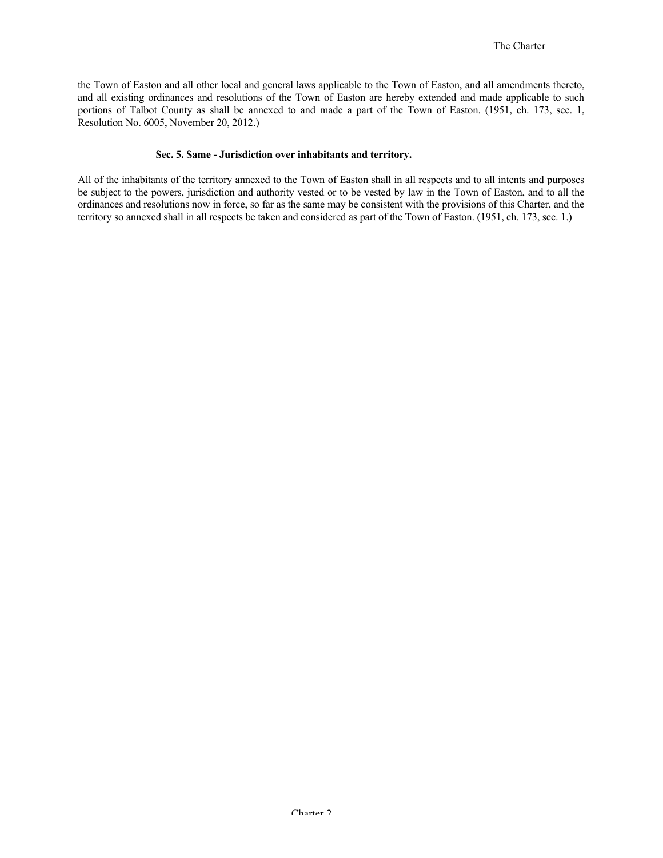the Town of Easton and all other local and general laws applicable to the Town of Easton, and all amendments thereto, and all existing ordinances and resolutions of the Town of Easton are hereby extended and made applicable to such portions of Talbot County as shall be annexed to and made a part of the Town of Easton. (1951, ch. 173, sec. 1, Resolution No. 6005, November 20, 2012.)

#### **Sec. 5. Same - Jurisdiction over inhabitants and territory.**

All of the inhabitants of the territory annexed to the Town of Easton shall in all respects and to all intents and purposes be subject to the powers, jurisdiction and authority vested or to be vested by law in the Town of Easton, and to all the ordinances and resolutions now in force, so far as the same may be consistent with the provisions of this Charter, and the territory so annexed shall in all respects be taken and considered as part of the Town of Easton. (1951, ch. 173, sec. 1.)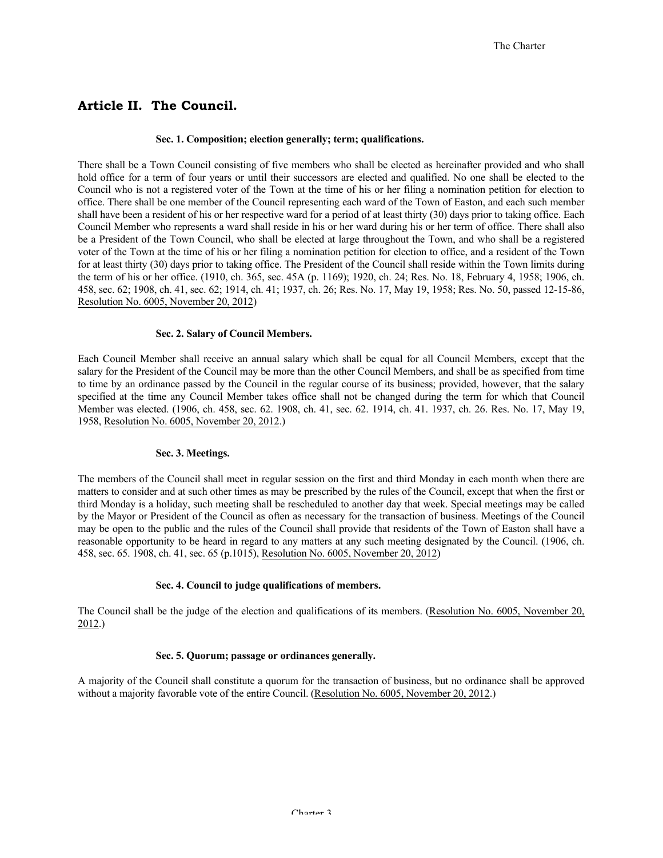## **Article II. The Council.**

#### **Sec. 1. Composition; election generally; term; qualifications.**

There shall be a Town Council consisting of five members who shall be elected as hereinafter provided and who shall hold office for a term of four years or until their successors are elected and qualified. No one shall be elected to the Council who is not a registered voter of the Town at the time of his or her filing a nomination petition for election to office. There shall be one member of the Council representing each ward of the Town of Easton, and each such member shall have been a resident of his or her respective ward for a period of at least thirty (30) days prior to taking office. Each Council Member who represents a ward shall reside in his or her ward during his or her term of office. There shall also be a President of the Town Council, who shall be elected at large throughout the Town, and who shall be a registered voter of the Town at the time of his or her filing a nomination petition for election to office, and a resident of the Town for at least thirty (30) days prior to taking office. The President of the Council shall reside within the Town limits during the term of his or her office. (1910, ch. 365, sec. 45A (p. 1169); 1920, ch. 24; Res. No. 18, February 4, 1958; 1906, ch. 458, sec. 62; 1908, ch. 41, sec. 62; 1914, ch. 41; 1937, ch. 26; Res. No. 17, May 19, 1958; Res. No. 50, passed 12-15-86, Resolution No. 6005, November 20, 2012)

#### **Sec. 2. Salary of Council Members.**

Each Council Member shall receive an annual salary which shall be equal for all Council Members, except that the salary for the President of the Council may be more than the other Council Members, and shall be as specified from time to time by an ordinance passed by the Council in the regular course of its business; provided, however, that the salary specified at the time any Council Member takes office shall not be changed during the term for which that Council Member was elected. (1906, ch. 458, sec. 62. 1908, ch. 41, sec. 62. 1914, ch. 41. 1937, ch. 26. Res. No. 17, May 19, 1958, Resolution No. 6005, November 20, 2012.)

#### **Sec. 3. Meetings.**

The members of the Council shall meet in regular session on the first and third Monday in each month when there are matters to consider and at such other times as may be prescribed by the rules of the Council, except that when the first or third Monday is a holiday, such meeting shall be rescheduled to another day that week. Special meetings may be called by the Mayor or President of the Council as often as necessary for the transaction of business. Meetings of the Council may be open to the public and the rules of the Council shall provide that residents of the Town of Easton shall have a reasonable opportunity to be heard in regard to any matters at any such meeting designated by the Council. (1906, ch. 458, sec. 65. 1908, ch. 41, sec. 65 (p.1015), Resolution No. 6005, November 20, 2012)

#### **Sec. 4. Council to judge qualifications of members.**

The Council shall be the judge of the election and qualifications of its members. (Resolution No. 6005, November 20, 2012.)

#### **Sec. 5. Quorum; passage or ordinances generally.**

A majority of the Council shall constitute a quorum for the transaction of business, but no ordinance shall be approved without a majority favorable vote of the entire Council. (Resolution No. 6005, November 20, 2012.)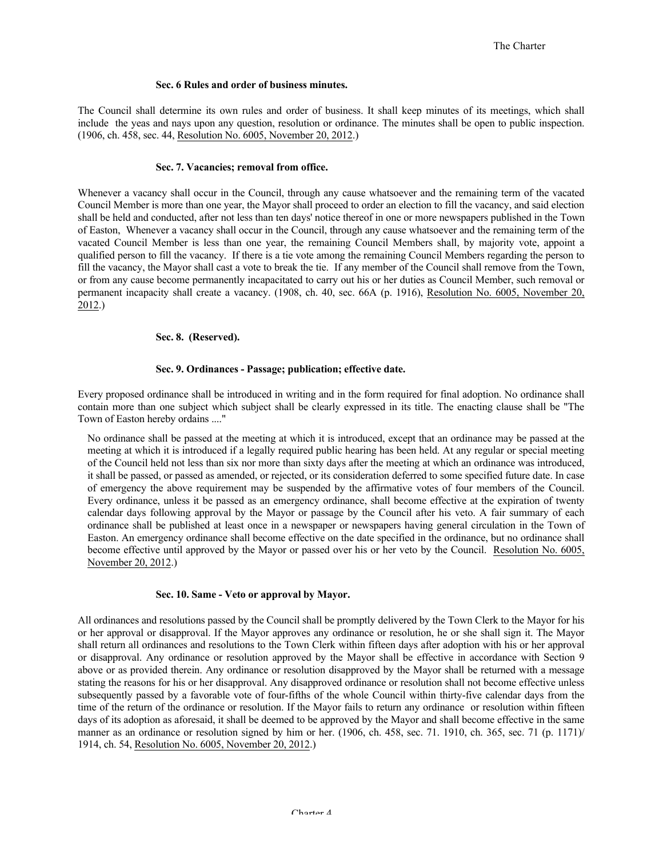#### **Sec. 6 Rules and order of business minutes.**

The Council shall determine its own rules and order of business. It shall keep minutes of its meetings, which shall include the yeas and nays upon any question, resolution or ordinance. The minutes shall be open to public inspection. (1906, ch. 458, sec. 44, Resolution No. 6005, November 20, 2012.)

#### **Sec. 7. Vacancies; removal from office.**

Whenever a vacancy shall occur in the Council, through any cause whatsoever and the remaining term of the vacated Council Member is more than one year, the Mayor shall proceed to order an election to fill the vacancy, and said election shall be held and conducted, after not less than ten days' notice thereof in one or more newspapers published in the Town of Easton, Whenever a vacancy shall occur in the Council, through any cause whatsoever and the remaining term of the vacated Council Member is less than one year, the remaining Council Members shall, by majority vote, appoint a qualified person to fill the vacancy. If there is a tie vote among the remaining Council Members regarding the person to fill the vacancy, the Mayor shall cast a vote to break the tie. If any member of the Council shall remove from the Town, or from any cause become permanently incapacitated to carry out his or her duties as Council Member, such removal or permanent incapacity shall create a vacancy. (1908, ch. 40, sec. 66A (p. 1916), Resolution No. 6005, November 20, 2012.)

#### **Sec. 8. (Reserved).**

#### **Sec. 9. Ordinances - Passage; publication; effective date.**

Every proposed ordinance shall be introduced in writing and in the form required for final adoption. No ordinance shall contain more than one subject which subject shall be clearly expressed in its title. The enacting clause shall be "The Town of Easton hereby ordains ...."

No ordinance shall be passed at the meeting at which it is introduced, except that an ordinance may be passed at the meeting at which it is introduced if a legally required public hearing has been held. At any regular or special meeting of the Council held not less than six nor more than sixty days after the meeting at which an ordinance was introduced, it shall be passed, or passed as amended, or rejected, or its consideration deferred to some specified future date. In case of emergency the above requirement may be suspended by the affirmative votes of four members of the Council. Every ordinance, unless it be passed as an emergency ordinance, shall become effective at the expiration of twenty calendar days following approval by the Mayor or passage by the Council after his veto. A fair summary of each ordinance shall be published at least once in a newspaper or newspapers having general circulation in the Town of Easton. An emergency ordinance shall become effective on the date specified in the ordinance, but no ordinance shall become effective until approved by the Mayor or passed over his or her veto by the Council. Resolution No. 6005, November 20, 2012.)

#### **Sec. 10. Same - Veto or approval by Mayor.**

All ordinances and resolutions passed by the Council shall be promptly delivered by the Town Clerk to the Mayor for his or her approval or disapproval. If the Mayor approves any ordinance or resolution, he or she shall sign it. The Mayor shall return all ordinances and resolutions to the Town Clerk within fifteen days after adoption with his or her approval or disapproval. Any ordinance or resolution approved by the Mayor shall be effective in accordance with Section 9 above or as provided therein. Any ordinance or resolution disapproved by the Mayor shall be returned with a message stating the reasons for his or her disapproval. Any disapproved ordinance or resolution shall not become effective unless subsequently passed by a favorable vote of four-fifths of the whole Council within thirty-five calendar days from the time of the return of the ordinance or resolution. If the Mayor fails to return any ordinance or resolution within fifteen days of its adoption as aforesaid, it shall be deemed to be approved by the Mayor and shall become effective in the same manner as an ordinance or resolution signed by him or her. (1906, ch. 458, sec. 71. 1910, ch. 365, sec. 71 (p. 1171)/ 1914, ch. 54, Resolution No. 6005, November 20, 2012.)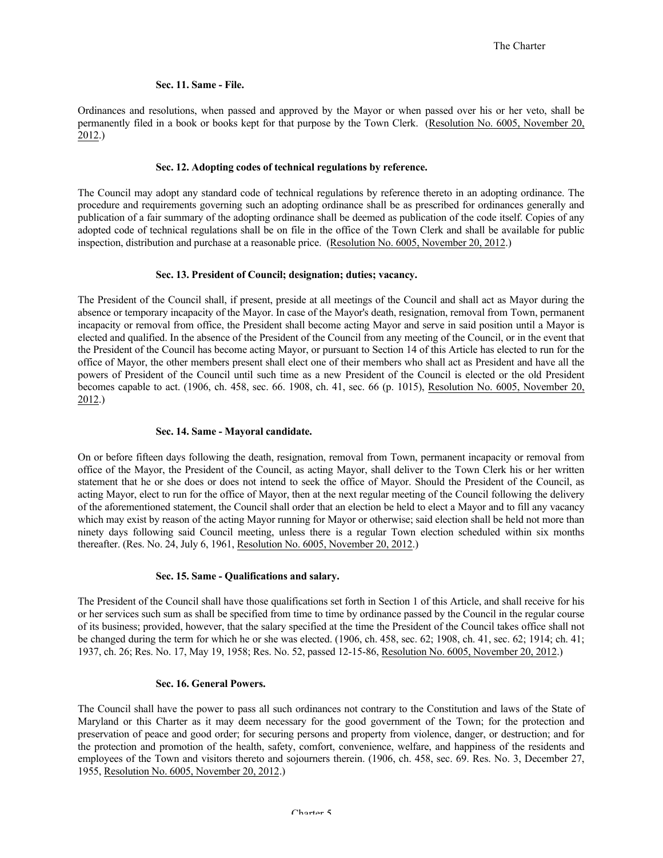#### **Sec. 11. Same - File.**

Ordinances and resolutions, when passed and approved by the Mayor or when passed over his or her veto, shall be permanently filed in a book or books kept for that purpose by the Town Clerk. (Resolution No. 6005, November 20, 2012.)

#### **Sec. 12. Adopting codes of technical regulations by reference.**

The Council may adopt any standard code of technical regulations by reference thereto in an adopting ordinance. The procedure and requirements governing such an adopting ordinance shall be as prescribed for ordinances generally and publication of a fair summary of the adopting ordinance shall be deemed as publication of the code itself. Copies of any adopted code of technical regulations shall be on file in the office of the Town Clerk and shall be available for public inspection, distribution and purchase at a reasonable price. (Resolution No. 6005, November 20, 2012.)

#### **Sec. 13. President of Council; designation; duties; vacancy.**

The President of the Council shall, if present, preside at all meetings of the Council and shall act as Mayor during the absence or temporary incapacity of the Mayor. In case of the Mayor's death, resignation, removal from Town, permanent incapacity or removal from office, the President shall become acting Mayor and serve in said position until a Mayor is elected and qualified. In the absence of the President of the Council from any meeting of the Council, or in the event that the President of the Council has become acting Mayor, or pursuant to Section 14 of this Article has elected to run for the office of Mayor, the other members present shall elect one of their members who shall act as President and have all the powers of President of the Council until such time as a new President of the Council is elected or the old President becomes capable to act. (1906, ch. 458, sec. 66. 1908, ch. 41, sec. 66 (p. 1015), Resolution No. 6005, November 20, 2012.)

#### **Sec. 14. Same - Mayoral candidate.**

On or before fifteen days following the death, resignation, removal from Town, permanent incapacity or removal from office of the Mayor, the President of the Council, as acting Mayor, shall deliver to the Town Clerk his or her written statement that he or she does or does not intend to seek the office of Mayor. Should the President of the Council, as acting Mayor, elect to run for the office of Mayor, then at the next regular meeting of the Council following the delivery of the aforementioned statement, the Council shall order that an election be held to elect a Mayor and to fill any vacancy which may exist by reason of the acting Mayor running for Mayor or otherwise; said election shall be held not more than ninety days following said Council meeting, unless there is a regular Town election scheduled within six months thereafter. (Res. No. 24, July 6, 1961, Resolution No. 6005, November 20, 2012.)

#### **Sec. 15. Same - Qualifications and salary.**

The President of the Council shall have those qualifications set forth in Section 1 of this Article, and shall receive for his or her services such sum as shall be specified from time to time by ordinance passed by the Council in the regular course of its business; provided, however, that the salary specified at the time the President of the Council takes office shall not be changed during the term for which he or she was elected. (1906, ch. 458, sec. 62; 1908, ch. 41, sec. 62; 1914; ch. 41; 1937, ch. 26; Res. No. 17, May 19, 1958; Res. No. 52, passed 12-15-86, Resolution No. 6005, November 20, 2012.)

#### **Sec. 16. General Powers.**

The Council shall have the power to pass all such ordinances not contrary to the Constitution and laws of the State of Maryland or this Charter as it may deem necessary for the good government of the Town; for the protection and preservation of peace and good order; for securing persons and property from violence, danger, or destruction; and for the protection and promotion of the health, safety, comfort, convenience, welfare, and happiness of the residents and employees of the Town and visitors thereto and sojourners therein. (1906, ch. 458, sec. 69. Res. No. 3, December 27, 1955, Resolution No. 6005, November 20, 2012.)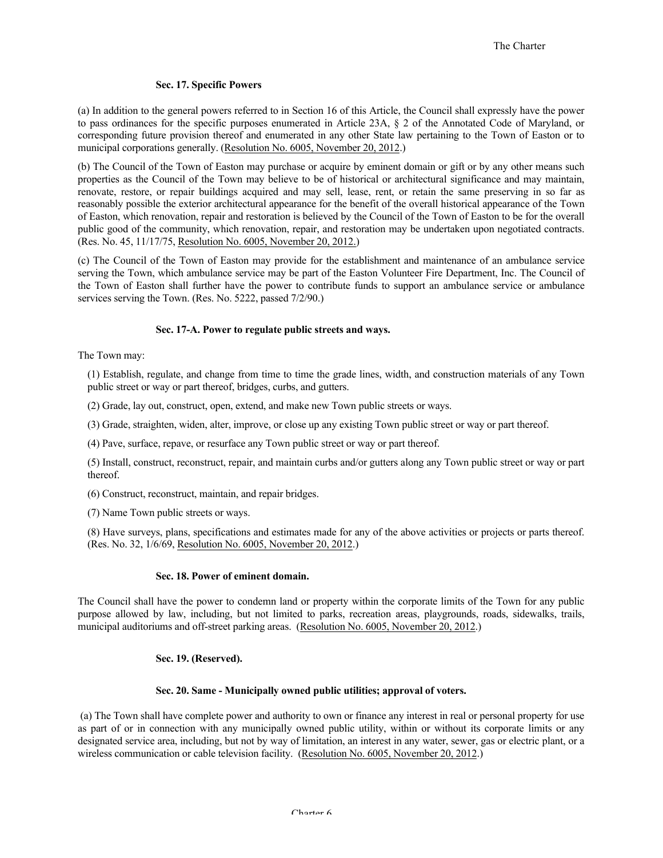#### **Sec. 17. Specific Powers**

(a) In addition to the general powers referred to in Section 16 of this Article, the Council shall expressly have the power to pass ordinances for the specific purposes enumerated in Article 23A, § 2 of the Annotated Code of Maryland, or corresponding future provision thereof and enumerated in any other State law pertaining to the Town of Easton or to municipal corporations generally. (Resolution No. 6005, November 20, 2012.)

(b) The Council of the Town of Easton may purchase or acquire by eminent domain or gift or by any other means such properties as the Council of the Town may believe to be of historical or architectural significance and may maintain, renovate, restore, or repair buildings acquired and may sell, lease, rent, or retain the same preserving in so far as reasonably possible the exterior architectural appearance for the benefit of the overall historical appearance of the Town of Easton, which renovation, repair and restoration is believed by the Council of the Town of Easton to be for the overall public good of the community, which renovation, repair, and restoration may be undertaken upon negotiated contracts. (Res. No. 45, 11/17/75, Resolution No. 6005, November 20, 2012.)

(c) The Council of the Town of Easton may provide for the establishment and maintenance of an ambulance service serving the Town, which ambulance service may be part of the Easton Volunteer Fire Department, Inc. The Council of the Town of Easton shall further have the power to contribute funds to support an ambulance service or ambulance services serving the Town. (Res. No. 5222, passed 7/2/90.)

#### **Sec. 17-A. Power to regulate public streets and ways.**

The Town may:

(1) Establish, regulate, and change from time to time the grade lines, width, and construction materials of any Town public street or way or part thereof, bridges, curbs, and gutters.

- (2) Grade, lay out, construct, open, extend, and make new Town public streets or ways.
- (3) Grade, straighten, widen, alter, improve, or close up any existing Town public street or way or part thereof.
- (4) Pave, surface, repave, or resurface any Town public street or way or part thereof.

(5) Install, construct, reconstruct, repair, and maintain curbs and/or gutters along any Town public street or way or part thereof.

(6) Construct, reconstruct, maintain, and repair bridges.

(7) Name Town public streets or ways.

(8) Have surveys, plans, specifications and estimates made for any of the above activities or projects or parts thereof. (Res. No. 32, 1/6/69, Resolution No. 6005, November 20, 2012.)

#### **Sec. 18. Power of eminent domain.**

The Council shall have the power to condemn land or property within the corporate limits of the Town for any public purpose allowed by law, including, but not limited to parks, recreation areas, playgrounds, roads, sidewalks, trails, municipal auditoriums and off-street parking areas. (Resolution No. 6005, November 20, 2012.)

## **Sec. 19. (Reserved).**

#### **Sec. 20. Same - Municipally owned public utilities; approval of voters.**

(a) The Town shall have complete power and authority to own or finance any interest in real or personal property for use as part of or in connection with any municipally owned public utility, within or without its corporate limits or any designated service area, including, but not by way of limitation, an interest in any water, sewer, gas or electric plant, or a wireless communication or cable television facility. (Resolution No. 6005, November 20, 2012.)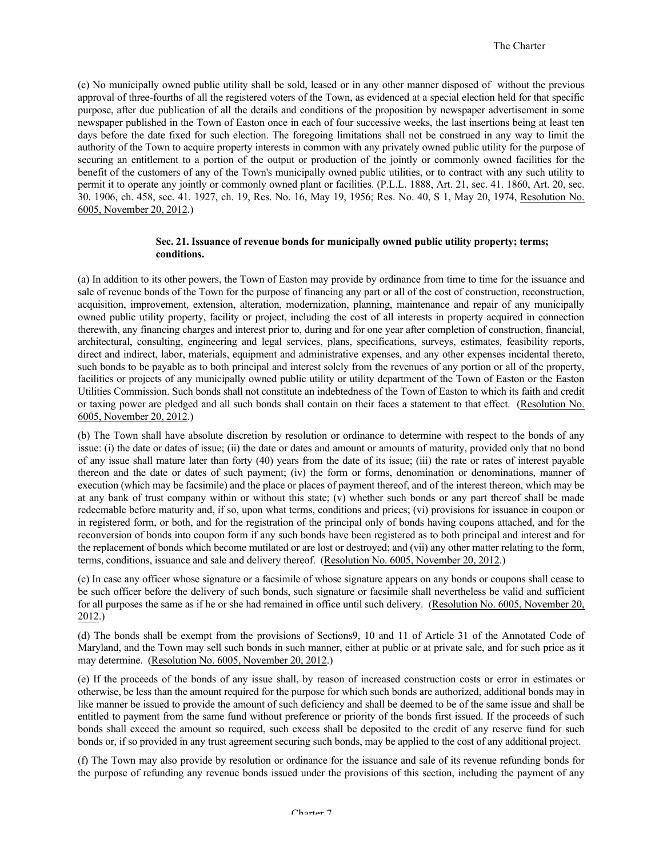(c) No municipally owned public utility shall be sold, leased or in any other manner disposed of without the previous approval of three-fourths of all the registered voters of the Town, as evidenced at a special election held for that specific purpose, after due publication of all the details and conditions of the proposition by newspaper advertisement in some newspaper published in the Town of Easton once in each of four successive weeks, the last insertions being at least ten days before the date fixed for such election. The foregoing limitations shall not be construed in any way to limit the authority of the Town to acquire property interests in common with any privately owned public utility for the purpose of securing an entitlement to a portion of the output or production of the jointly or commonly owned facilities for the benefit of the customers of any of the Town's municipally owned public utilities, or to contract with any such utility to permit it to operate any jointly or commonly owned plant or facilities. (P.L.L. 1888, Art. 21, sec. 41. 1860, Art. 20, sec. 30. 1906, ch. 458, sec. 41. 1927, ch. 19, Res. No. 16, May 19, 1956; Res. No. 40, S 1, May 20, 1974, Resolution No. 6005, November 20, 2012.)

#### **Sec. 21. Issuance of revenue bonds for municipally owned public utility property; terms; conditions.**

(a) In addition to its other powers, the Town of Easton may provide by ordinance from time to time for the issuance and sale of revenue bonds of the Town for the purpose of financing any part or all of the cost of construction, reconstruction, acquisition, improvement, extension, alteration, modernization, planning, maintenance and repair of any municipally owned public utility property, facility or project, including the cost of all interests in property acquired in connection therewith, any financing charges and interest prior to, during and for one year after completion of construction, financial, architectural, consulting, engineering and legal services, plans, specifications, surveys, estimates, feasibility reports, direct and indirect, labor, materials, equipment and administrative expenses, and any other expenses incidental thereto, such bonds to be payable as to both principal and interest solely from the revenues of any portion or all of the property, facilities or projects of any municipally owned public utility or utility department of the Town of Easton or the Easton Utilities Commission. Such bonds shall not constitute an indebtedness of the Town of Easton to which its faith and credit or taxing power are pledged and all such bonds shall contain on their faces a statement to that effect. (Resolution No. 6005, November 20, 2012.)

(b) The Town shall have absolute discretion by resolution or ordinance to determine with respect to the bonds of any issue: (i) the date or dates of issue; (ii) the date or dates and amount or amounts of maturity, provided only that no bond of any issue shall mature later than forty (40) years from the date of its issue; (iii) the rate or rates of interest payable thereon and the date or dates of such payment; (iv) the form or forms, denomination or denominations, manner of execution (which may be facsimile) and the place or places of payment thereof, and of the interest thereon, which may be at any bank of trust company within or without this state; (v) whether such bonds or any part thereof shall be made redeemable before maturity and, if so, upon what terms, conditions and prices; (vi) provisions for issuance in coupon or in registered form, or both, and for the registration of the principal only of bonds having coupons attached, and for the reconversion of bonds into coupon form if any such bonds have been registered as to both principal and interest and for the replacement of bonds which become mutilated or are lost or destroyed; and (vii) any other matter relating to the form, terms, conditions, issuance and sale and delivery thereof. (Resolution No. 6005, November 20, 2012.)

(c) In case any officer whose signature or a facsimile of whose signature appears on any bonds or coupons shall cease to be such officer before the delivery of such bonds, such signature or facsimile shall nevertheless be valid and sufficient for all purposes the same as if he or she had remained in office until such delivery. (Resolution No. 6005, November 20, 2012.)

(d) The bonds shall be exempt from the provisions of Sections9, 10 and 11 of Article 31 of the Annotated Code of Maryland, and the Town may sell such bonds in such manner, either at public or at private sale, and for such price as it may determine. (Resolution No. 6005, November 20, 2012.)

(e) If the proceeds of the bonds of any issue shall, by reason of increased construction costs or error in estimates or otherwise, be less than the amount required for the purpose for which such bonds are authorized, additional bonds may in like manner be issued to provide the amount of such deficiency and shall be deemed to be of the same issue and shall be entitled to payment from the same fund without preference or priority of the bonds first issued. If the proceeds of such bonds shall exceed the amount so required, such excess shall be deposited to the credit of any reserve fund for such bonds or, if so provided in any trust agreement securing such bonds, may be applied to the cost of any additional project.

(f) The Town may also provide by resolution or ordinance for the issuance and sale of its revenue refunding bonds for the purpose of refunding any revenue bonds issued under the provisions of this section, including the payment of any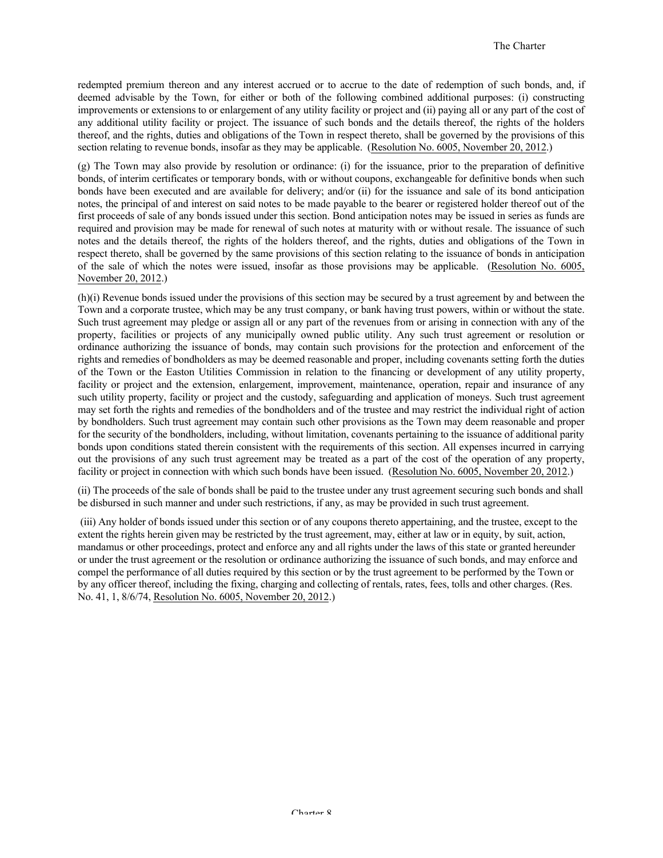redempted premium thereon and any interest accrued or to accrue to the date of redemption of such bonds, and, if deemed advisable by the Town, for either or both of the following combined additional purposes: (i) constructing improvements or extensions to or enlargement of any utility facility or project and (ii) paying all or any part of the cost of any additional utility facility or project. The issuance of such bonds and the details thereof, the rights of the holders thereof, and the rights, duties and obligations of the Town in respect thereto, shall be governed by the provisions of this section relating to revenue bonds, insofar as they may be applicable. (Resolution No. 6005, November 20, 2012.)

(g) The Town may also provide by resolution or ordinance: (i) for the issuance, prior to the preparation of definitive bonds, of interim certificates or temporary bonds, with or without coupons, exchangeable for definitive bonds when such bonds have been executed and are available for delivery; and/or (ii) for the issuance and sale of its bond anticipation notes, the principal of and interest on said notes to be made payable to the bearer or registered holder thereof out of the first proceeds of sale of any bonds issued under this section. Bond anticipation notes may be issued in series as funds are required and provision may be made for renewal of such notes at maturity with or without resale. The issuance of such notes and the details thereof, the rights of the holders thereof, and the rights, duties and obligations of the Town in respect thereto, shall be governed by the same provisions of this section relating to the issuance of bonds in anticipation of the sale of which the notes were issued, insofar as those provisions may be applicable. (Resolution No. 6005, November 20, 2012.)

(h)(i) Revenue bonds issued under the provisions of this section may be secured by a trust agreement by and between the Town and a corporate trustee, which may be any trust company, or bank having trust powers, within or without the state. Such trust agreement may pledge or assign all or any part of the revenues from or arising in connection with any of the property, facilities or projects of any municipally owned public utility. Any such trust agreement or resolution or ordinance authorizing the issuance of bonds, may contain such provisions for the protection and enforcement of the rights and remedies of bondholders as may be deemed reasonable and proper, including covenants setting forth the duties of the Town or the Easton Utilities Commission in relation to the financing or development of any utility property, facility or project and the extension, enlargement, improvement, maintenance, operation, repair and insurance of any such utility property, facility or project and the custody, safeguarding and application of moneys. Such trust agreement may set forth the rights and remedies of the bondholders and of the trustee and may restrict the individual right of action by bondholders. Such trust agreement may contain such other provisions as the Town may deem reasonable and proper for the security of the bondholders, including, without limitation, covenants pertaining to the issuance of additional parity bonds upon conditions stated therein consistent with the requirements of this section. All expenses incurred in carrying out the provisions of any such trust agreement may be treated as a part of the cost of the operation of any property, facility or project in connection with which such bonds have been issued. (Resolution No. 6005, November 20, 2012.)

(ii) The proceeds of the sale of bonds shall be paid to the trustee under any trust agreement securing such bonds and shall be disbursed in such manner and under such restrictions, if any, as may be provided in such trust agreement.

(iii) Any holder of bonds issued under this section or of any coupons thereto appertaining, and the trustee, except to the extent the rights herein given may be restricted by the trust agreement, may, either at law or in equity, by suit, action, mandamus or other proceedings, protect and enforce any and all rights under the laws of this state or granted hereunder or under the trust agreement or the resolution or ordinance authorizing the issuance of such bonds, and may enforce and compel the performance of all duties required by this section or by the trust agreement to be performed by the Town or by any officer thereof, including the fixing, charging and collecting of rentals, rates, fees, tolls and other charges. (Res. No. 41, 1, 8/6/74, Resolution No. 6005, November 20, 2012.)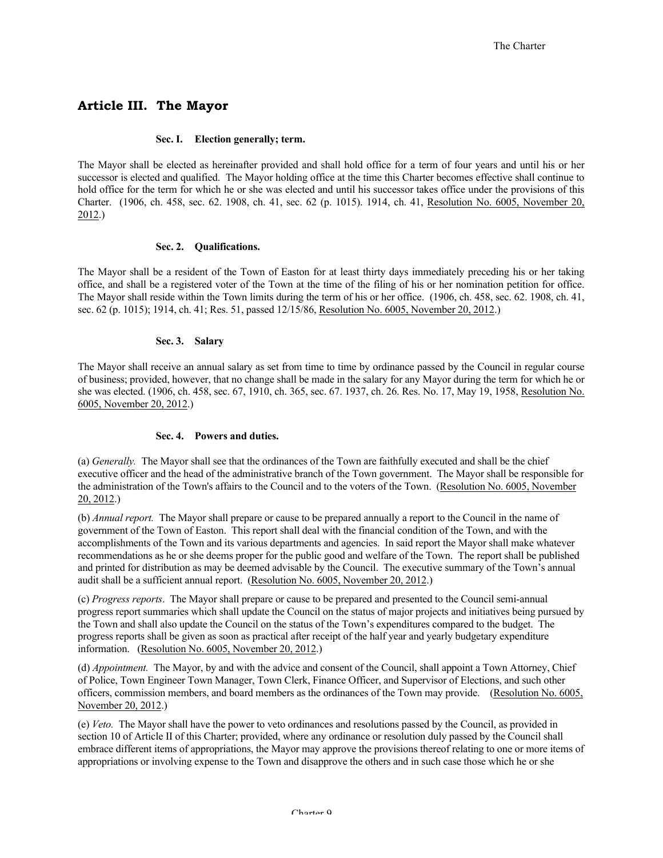## **Article III. The Mayor**

#### **Sec. I. Election generally; term.**

The Mayor shall be elected as hereinafter provided and shall hold office for a term of four years and until his or her successor is elected and qualified. The Mayor holding office at the time this Charter becomes effective shall continue to hold office for the term for which he or she was elected and until his successor takes office under the provisions of this Charter. (1906, ch. 458, sec. 62. 1908, ch. 41, sec. 62 (p. 1015). 1914, ch. 41, Resolution No. 6005, November 20, 2012.)

#### **Sec. 2. Qualifications.**

The Mayor shall be a resident of the Town of Easton for at least thirty days immediately preceding his or her taking office, and shall be a registered voter of the Town at the time of the filing of his or her nomination petition for office. The Mayor shall reside within the Town limits during the term of his or her office. (1906, ch. 458, sec. 62. 1908, ch. 41, sec. 62 (p. 1015); 1914, ch. 41; Res. 51, passed 12/15/86, Resolution No. 6005, November 20, 2012.)

#### **Sec. 3. Salary**

The Mayor shall receive an annual salary as set from time to time by ordinance passed by the Council in regular course of business; provided, however, that no change shall be made in the salary for any Mayor during the term for which he or she was elected. (1906, ch. 458, sec. 67, 1910, ch. 365, sec. 67. 1937, ch. 26. Res. No. 17, May 19, 1958, Resolution No. 6005, November 20, 2012.)

#### **Sec. 4. Powers and duties.**

(a) *Generally.* The Mayor shall see that the ordinances of the Town are faithfully executed and shall be the chief executive officer and the head of the administrative branch of the Town government. The Mayor shall be responsible for the administration of the Town's affairs to the Council and to the voters of the Town. (Resolution No. 6005, November 20, 2012.)

(b) *Annual report.* The Mayor shall prepare or cause to be prepared annually a report to the Council in the name of government of the Town of Easton. This report shall deal with the financial condition of the Town, and with the accomplishments of the Town and its various departments and agencies. In said report the Mayor shall make whatever recommendations as he or she deems proper for the public good and welfare of the Town. The report shall be published and printed for distribution as may be deemed advisable by the Council. The executive summary of the Town's annual audit shall be a sufficient annual report. (Resolution No. 6005, November 20, 2012.)

(c) *Progress reports*. The Mayor shall prepare or cause to be prepared and presented to the Council semi-annual progress report summaries which shall update the Council on the status of major projects and initiatives being pursued by the Town and shall also update the Council on the status of the Town's expenditures compared to the budget. The progress reports shall be given as soon as practical after receipt of the half year and yearly budgetary expenditure information. (Resolution No. 6005, November 20, 2012.)

(d) *Appointment.* The Mayor, by and with the advice and consent of the Council, shall appoint a Town Attorney, Chief of Police, Town Engineer Town Manager, Town Clerk, Finance Officer, and Supervisor of Elections, and such other officers, commission members, and board members as the ordinances of the Town may provide. (Resolution No. 6005, November 20, 2012.)

(e) *Veto.* The Mayor shall have the power to veto ordinances and resolutions passed by the Council, as provided in section 10 of Article II of this Charter; provided, where any ordinance or resolution duly passed by the Council shall embrace different items of appropriations, the Mayor may approve the provisions thereof relating to one or more items of appropriations or involving expense to the Town and disapprove the others and in such case those which he or she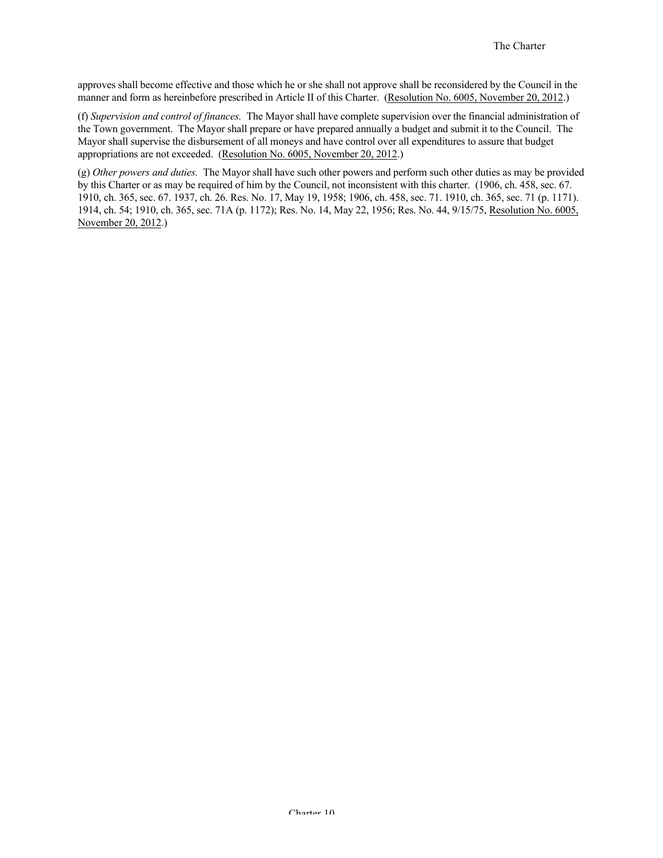approves shall become effective and those which he or she shall not approve shall be reconsidered by the Council in the manner and form as hereinbefore prescribed in Article II of this Charter. (Resolution No. 6005, November 20, 2012.)

(f) *Supervision and control of finances.* The Mayor shall have complete supervision over the financial administration of the Town government. The Mayor shall prepare or have prepared annually a budget and submit it to the Council. The Mayor shall supervise the disbursement of all moneys and have control over all expenditures to assure that budget appropriations are not exceeded. (Resolution No. 6005, November 20, 2012.)

(g) *Other powers and duties.* The Mayor shall have such other powers and perform such other duties as may be provided by this Charter or as may be required of him by the Council, not inconsistent with this charter. (1906, ch. 458, sec. 67. 1910, ch. 365, sec. 67. 1937, ch. 26. Res. No. 17, May 19, 1958; 1906, ch. 458, sec. 71. 1910, ch. 365, sec. 71 (p. 1171). 1914, ch. 54; 1910, ch. 365, sec. 71A (p. 1172); Res. No. 14, May 22, 1956; Res. No. 44, 9/15/75, Resolution No. 6005, November 20, 2012.)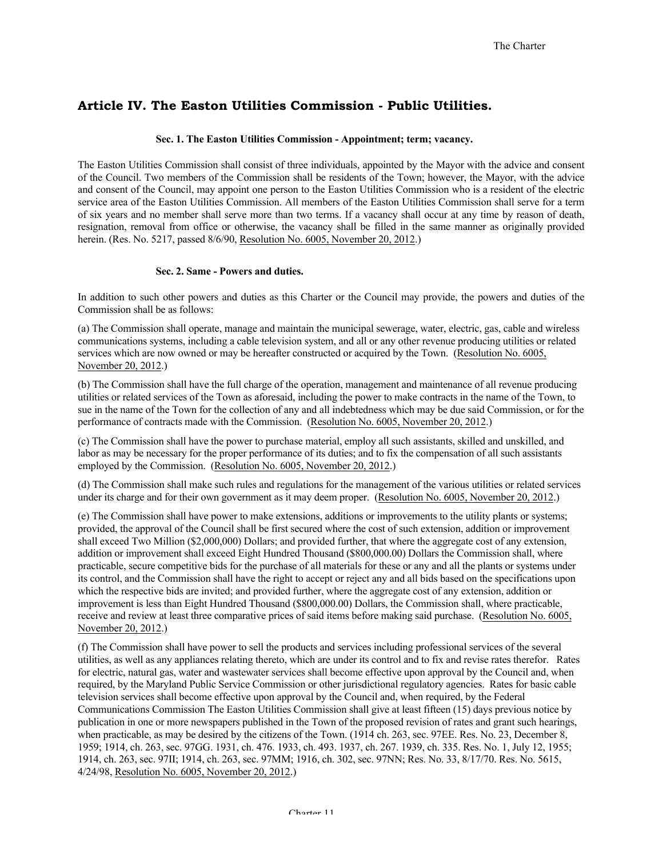## **Article IV. The Easton Utilities Commission - Public Utilities.**

#### **Sec. 1. The Easton Utilities Commission - Appointment; term; vacancy.**

The Easton Utilities Commission shall consist of three individuals, appointed by the Mayor with the advice and consent of the Council. Two members of the Commission shall be residents of the Town; however, the Mayor, with the advice and consent of the Council, may appoint one person to the Easton Utilities Commission who is a resident of the electric service area of the Easton Utilities Commission. All members of the Easton Utilities Commission shall serve for a term of six years and no member shall serve more than two terms. If a vacancy shall occur at any time by reason of death, resignation, removal from office or otherwise, the vacancy shall be filled in the same manner as originally provided herein. (Res. No. 5217, passed 8/6/90, Resolution No. 6005, November 20, 2012.)

#### **Sec. 2. Same - Powers and duties.**

In addition to such other powers and duties as this Charter or the Council may provide, the powers and duties of the Commission shall be as follows:

(a) The Commission shall operate, manage and maintain the municipal sewerage, water, electric, gas, cable and wireless communications systems, including a cable television system, and all or any other revenue producing utilities or related services which are now owned or may be hereafter constructed or acquired by the Town. (Resolution No. 6005, November 20, 2012.)

(b) The Commission shall have the full charge of the operation, management and maintenance of all revenue producing utilities or related services of the Town as aforesaid, including the power to make contracts in the name of the Town, to sue in the name of the Town for the collection of any and all indebtedness which may be due said Commission, or for the performance of contracts made with the Commission. (Resolution No. 6005, November 20, 2012.)

(c) The Commission shall have the power to purchase material, employ all such assistants, skilled and unskilled, and labor as may be necessary for the proper performance of its duties; and to fix the compensation of all such assistants employed by the Commission. (Resolution No. 6005, November 20, 2012.)

(d) The Commission shall make such rules and regulations for the management of the various utilities or related services under its charge and for their own government as it may deem proper. (Resolution No. 6005, November 20, 2012.)

(e) The Commission shall have power to make extensions, additions or improvements to the utility plants or systems; provided, the approval of the Council shall be first secured where the cost of such extension, addition or improvement shall exceed Two Million (\$2,000,000) Dollars; and provided further, that where the aggregate cost of any extension, addition or improvement shall exceed Eight Hundred Thousand (\$800,000.00) Dollars the Commission shall, where practicable, secure competitive bids for the purchase of all materials for these or any and all the plants or systems under its control, and the Commission shall have the right to accept or reject any and all bids based on the specifications upon which the respective bids are invited; and provided further, where the aggregate cost of any extension, addition or improvement is less than Eight Hundred Thousand (\$800,000.00) Dollars, the Commission shall, where practicable, receive and review at least three comparative prices of said items before making said purchase. (Resolution No. 6005, November 20, 2012.)

(f) The Commission shall have power to sell the products and services including professional services of the several utilities, as well as any appliances relating thereto, which are under its control and to fix and revise rates therefor. Rates for electric, natural gas, water and wastewater services shall become effective upon approval by the Council and, when required, by the Maryland Public Service Commission or other jurisdictional regulatory agencies. Rates for basic cable television services shall become effective upon approval by the Council and, when required, by the Federal Communications Commission The Easton Utilities Commission shall give at least fifteen (15) days previous notice by publication in one or more newspapers published in the Town of the proposed revision of rates and grant such hearings, when practicable, as may be desired by the citizens of the Town. (1914 ch. 263, sec. 97EE. Res. No. 23, December 8, 1959; 1914, ch. 263, sec. 97GG. 1931, ch. 476. 1933, ch. 493. 1937, ch. 267. 1939, ch. 335. Res. No. 1, July 12, 1955; 1914, ch. 263, sec. 97II; 1914, ch. 263, sec. 97MM; 1916, ch. 302, sec. 97NN; Res. No. 33, 8/17/70. Res. No. 5615, 4/24/98, Resolution No. 6005, November 20, 2012.)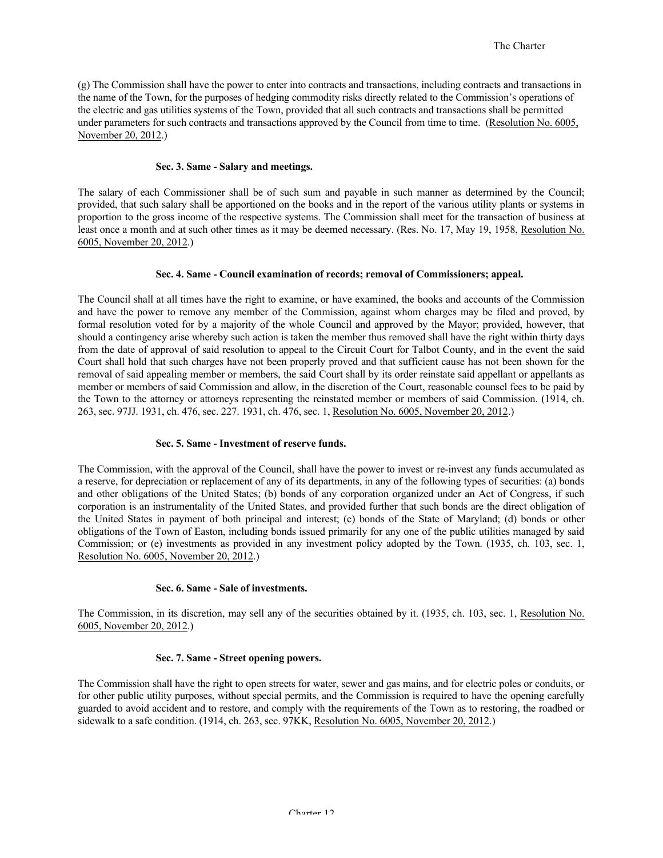(g) The Commission shall have the power to enter into contracts and transactions, including contracts and transactions in the name of the Town, for the purposes of hedging commodity risks directly related to the Commission's operations of the electric and gas utilities systems of the Town, provided that all such contracts and transactions shall be permitted under parameters for such contracts and transactions approved by the Council from time to time. (Resolution No. 6005, November 20, 2012.)

#### **Sec. 3. Same - Salary and meetings.**

The salary of each Commissioner shall be of such sum and payable in such manner as determined by the Council; provided, that such salary shall be apportioned on the books and in the report of the various utility plants or systems in proportion to the gross income of the respective systems. The Commission shall meet for the transaction of business at least once a month and at such other times as it may be deemed necessary. (Res. No. 17, May 19, 1958, Resolution No. 6005, November 20, 2012.)

#### **Sec. 4. Same - Council examination of records; removal of Commissioners; appeal.**

The Council shall at all times have the right to examine, or have examined, the books and accounts of the Commission and have the power to remove any member of the Commission, against whom charges may be filed and proved, by formal resolution voted for by a majority of the whole Council and approved by the Mayor; provided, however, that should a contingency arise whereby such action is taken the member thus removed shall have the right within thirty days from the date of approval of said resolution to appeal to the Circuit Court for Talbot County, and in the event the said Court shall hold that such charges have not been properly proved and that sufficient cause has not been shown for the removal of said appealing member or members, the said Court shall by its order reinstate said appellant or appellants as member or members of said Commission and allow, in the discretion of the Court, reasonable counsel fees to be paid by the Town to the attorney or attorneys representing the reinstated member or members of said Commission. (1914, ch. 263, sec. 97JJ. 1931, ch. 476, sec. 227. 1931, ch. 476, sec. 1, Resolution No. 6005, November 20, 2012.)

#### **Sec. 5. Same - Investment of reserve funds.**

The Commission, with the approval of the Council, shall have the power to invest or re-invest any funds accumulated as a reserve, for depreciation or replacement of any of its departments, in any of the following types of securities: (a) bonds and other obligations of the United States; (b) bonds of any corporation organized under an Act of Congress, if such corporation is an instrumentality of the United States, and provided further that such bonds are the direct obligation of the United States in payment of both principal and interest; (c) bonds of the State of Maryland; (d) bonds or other obligations of the Town of Easton, including bonds issued primarily for any one of the public utilities managed by said Commission; or (e) investments as provided in any investment policy adopted by the Town. (1935, ch. 103, sec. 1, Resolution No. 6005, November 20, 2012.)

#### **Sec. 6. Same - Sale of investments.**

The Commission, in its discretion, may sell any of the securities obtained by it. (1935, ch. 103, sec. 1, Resolution No. 6005, November 20, 2012.)

#### **Sec. 7. Same - Street opening powers.**

The Commission shall have the right to open streets for water, sewer and gas mains, and for electric poles or conduits, or for other public utility purposes, without special permits, and the Commission is required to have the opening carefully guarded to avoid accident and to restore, and comply with the requirements of the Town as to restoring, the roadbed or sidewalk to a safe condition. (1914, ch. 263, sec. 97KK, Resolution No. 6005, November 20, 2012.)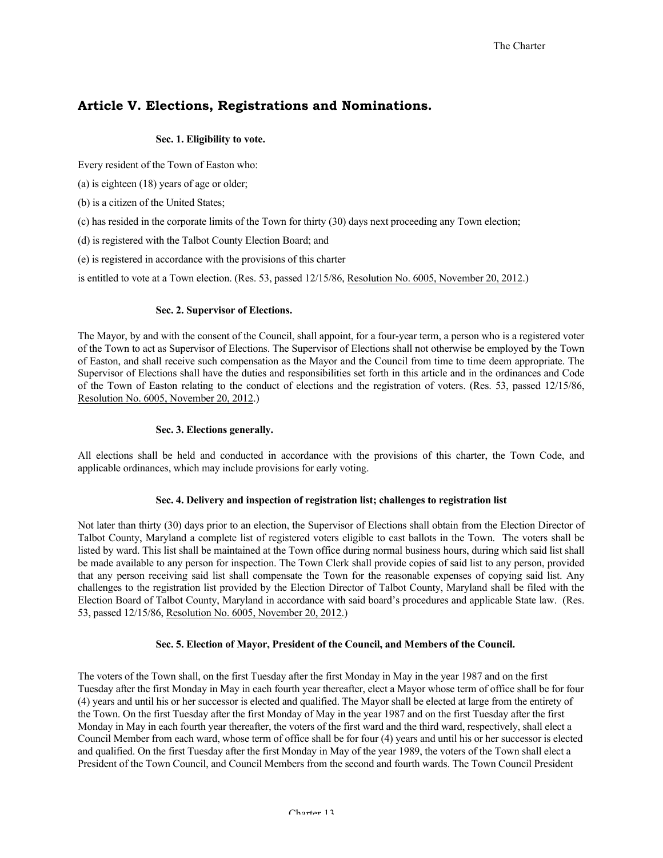## **Article V. Elections, Registrations and Nominations.**

#### **Sec. 1. Eligibility to vote.**

Every resident of the Town of Easton who:

(a) is eighteen (18) years of age or older;

- (b) is a citizen of the United States;
- (c) has resided in the corporate limits of the Town for thirty (30) days next proceeding any Town election;

(d) is registered with the Talbot County Election Board; and

(e) is registered in accordance with the provisions of this charter

is entitled to vote at a Town election. (Res. 53, passed 12/15/86, Resolution No. 6005, November 20, 2012.)

#### **Sec. 2. Supervisor of Elections.**

The Mayor, by and with the consent of the Council, shall appoint, for a four-year term, a person who is a registered voter of the Town to act as Supervisor of Elections. The Supervisor of Elections shall not otherwise be employed by the Town of Easton, and shall receive such compensation as the Mayor and the Council from time to time deem appropriate. The Supervisor of Elections shall have the duties and responsibilities set forth in this article and in the ordinances and Code of the Town of Easton relating to the conduct of elections and the registration of voters. (Res. 53, passed 12/15/86, Resolution No. 6005, November 20, 2012.)

#### **Sec. 3. Elections generally.**

All elections shall be held and conducted in accordance with the provisions of this charter, the Town Code, and applicable ordinances, which may include provisions for early voting.

## **Sec. 4. Delivery and inspection of registration list; challenges to registration list**

Not later than thirty (30) days prior to an election, the Supervisor of Elections shall obtain from the Election Director of Talbot County, Maryland a complete list of registered voters eligible to cast ballots in the Town. The voters shall be listed by ward. This list shall be maintained at the Town office during normal business hours, during which said list shall be made available to any person for inspection. The Town Clerk shall provide copies of said list to any person, provided that any person receiving said list shall compensate the Town for the reasonable expenses of copying said list. Any challenges to the registration list provided by the Election Director of Talbot County, Maryland shall be filed with the Election Board of Talbot County, Maryland in accordance with said board's procedures and applicable State law. (Res. 53, passed 12/15/86, Resolution No. 6005, November 20, 2012.)

## **Sec. 5. Election of Mayor, President of the Council, and Members of the Council.**

The voters of the Town shall, on the first Tuesday after the first Monday in May in the year 1987 and on the first Tuesday after the first Monday in May in each fourth year thereafter, elect a Mayor whose term of office shall be for four (4) years and until his or her successor is elected and qualified. The Mayor shall be elected at large from the entirety of the Town. On the first Tuesday after the first Monday of May in the year 1987 and on the first Tuesday after the first Monday in May in each fourth year thereafter, the voters of the first ward and the third ward, respectively, shall elect a Council Member from each ward, whose term of office shall be for four (4) years and until his or her successor is elected and qualified. On the first Tuesday after the first Monday in May of the year 1989, the voters of the Town shall elect a President of the Town Council, and Council Members from the second and fourth wards. The Town Council President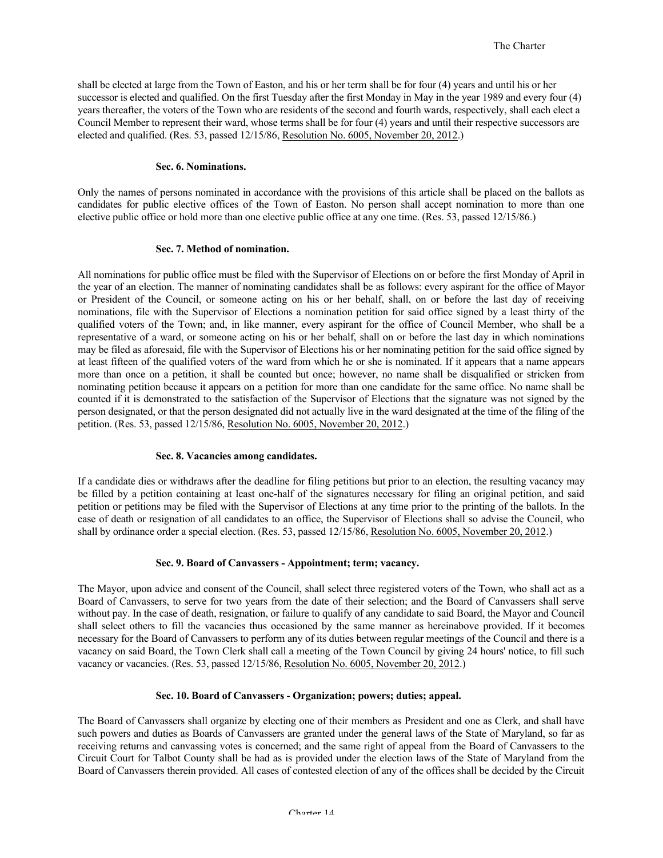shall be elected at large from the Town of Easton, and his or her term shall be for four (4) years and until his or her successor is elected and qualified. On the first Tuesday after the first Monday in May in the year 1989 and every four (4) years thereafter, the voters of the Town who are residents of the second and fourth wards, respectively, shall each elect a Council Member to represent their ward, whose terms shall be for four (4) years and until their respective successors are elected and qualified. (Res. 53, passed 12/15/86, Resolution No. 6005, November 20, 2012.)

#### **Sec. 6. Nominations.**

Only the names of persons nominated in accordance with the provisions of this article shall be placed on the ballots as candidates for public elective offices of the Town of Easton. No person shall accept nomination to more than one elective public office or hold more than one elective public office at any one time. (Res. 53, passed 12/15/86.)

#### **Sec. 7. Method of nomination.**

All nominations for public office must be filed with the Supervisor of Elections on or before the first Monday of April in the year of an election. The manner of nominating candidates shall be as follows: every aspirant for the office of Mayor or President of the Council, or someone acting on his or her behalf, shall, on or before the last day of receiving nominations, file with the Supervisor of Elections a nomination petition for said office signed by a least thirty of the qualified voters of the Town; and, in like manner, every aspirant for the office of Council Member, who shall be a representative of a ward, or someone acting on his or her behalf, shall on or before the last day in which nominations may be filed as aforesaid, file with the Supervisor of Elections his or her nominating petition for the said office signed by at least fifteen of the qualified voters of the ward from which he or she is nominated. If it appears that a name appears more than once on a petition, it shall be counted but once; however, no name shall be disqualified or stricken from nominating petition because it appears on a petition for more than one candidate for the same office. No name shall be counted if it is demonstrated to the satisfaction of the Supervisor of Elections that the signature was not signed by the person designated, or that the person designated did not actually live in the ward designated at the time of the filing of the petition. (Res. 53, passed 12/15/86, Resolution No. 6005, November 20, 2012.)

#### **Sec. 8. Vacancies among candidates.**

If a candidate dies or withdraws after the deadline for filing petitions but prior to an election, the resulting vacancy may be filled by a petition containing at least one-half of the signatures necessary for filing an original petition, and said petition or petitions may be filed with the Supervisor of Elections at any time prior to the printing of the ballots. In the case of death or resignation of all candidates to an office, the Supervisor of Elections shall so advise the Council, who shall by ordinance order a special election. (Res. 53, passed 12/15/86, Resolution No. 6005, November 20, 2012.)

#### **Sec. 9. Board of Canvassers - Appointment; term; vacancy.**

The Mayor, upon advice and consent of the Council, shall select three registered voters of the Town, who shall act as a Board of Canvassers, to serve for two years from the date of their selection; and the Board of Canvassers shall serve without pay. In the case of death, resignation, or failure to qualify of any candidate to said Board, the Mayor and Council shall select others to fill the vacancies thus occasioned by the same manner as hereinabove provided. If it becomes necessary for the Board of Canvassers to perform any of its duties between regular meetings of the Council and there is a vacancy on said Board, the Town Clerk shall call a meeting of the Town Council by giving 24 hours' notice, to fill such vacancy or vacancies. (Res. 53, passed 12/15/86, Resolution No. 6005, November 20, 2012.)

#### **Sec. 10. Board of Canvassers - Organization; powers; duties; appeal.**

The Board of Canvassers shall organize by electing one of their members as President and one as Clerk, and shall have such powers and duties as Boards of Canvassers are granted under the general laws of the State of Maryland, so far as receiving returns and canvassing votes is concerned; and the same right of appeal from the Board of Canvassers to the Circuit Court for Talbot County shall be had as is provided under the election laws of the State of Maryland from the Board of Canvassers therein provided. All cases of contested election of any of the offices shall be decided by the Circuit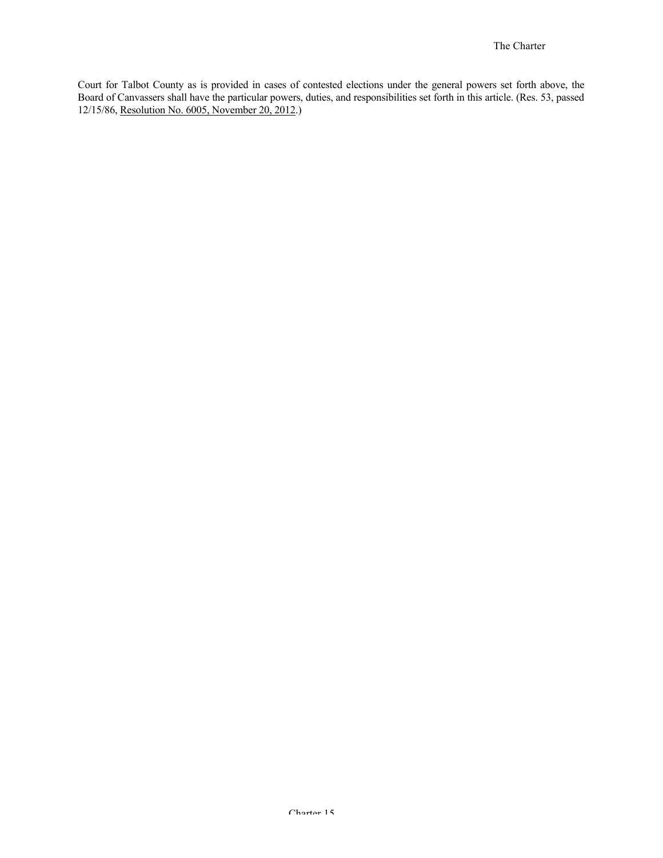Court for Talbot County as is provided in cases of contested elections under the general powers set forth above, the Board of Canvassers shall have the particular powers, duties, and responsibilities set forth in this article. (Res. 53, passed 12/15/86, Resolution No. 6005, November 20, 2012.)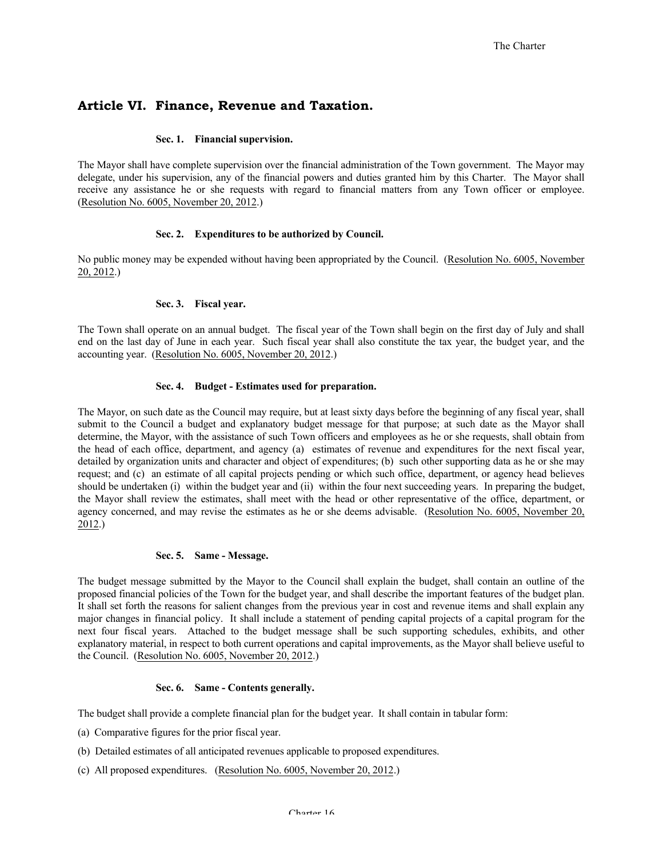## **Article VI. Finance, Revenue and Taxation.**

#### **Sec. 1. Financial supervision.**

The Mayor shall have complete supervision over the financial administration of the Town government. The Mayor may delegate, under his supervision, any of the financial powers and duties granted him by this Charter. The Mayor shall receive any assistance he or she requests with regard to financial matters from any Town officer or employee. (Resolution No. 6005, November 20, 2012.)

#### **Sec. 2. Expenditures to be authorized by Council.**

No public money may be expended without having been appropriated by the Council. (Resolution No. 6005, November 20, 2012.)

#### **Sec. 3. Fiscal year.**

The Town shall operate on an annual budget. The fiscal year of the Town shall begin on the first day of July and shall end on the last day of June in each year. Such fiscal year shall also constitute the tax year, the budget year, and the accounting year. (Resolution No. 6005, November 20, 2012.)

#### **Sec. 4. Budget - Estimates used for preparation.**

The Mayor, on such date as the Council may require, but at least sixty days before the beginning of any fiscal year, shall submit to the Council a budget and explanatory budget message for that purpose; at such date as the Mayor shall determine, the Mayor, with the assistance of such Town officers and employees as he or she requests, shall obtain from the head of each office, department, and agency (a) estimates of revenue and expenditures for the next fiscal year, detailed by organization units and character and object of expenditures; (b) such other supporting data as he or she may request; and (c) an estimate of all capital projects pending or which such office, department, or agency head believes should be undertaken (i) within the budget year and (ii) within the four next succeeding years. In preparing the budget, the Mayor shall review the estimates, shall meet with the head or other representative of the office, department, or agency concerned, and may revise the estimates as he or she deems advisable. (Resolution No. 6005, November 20, 2012.)

#### **Sec. 5. Same - Message.**

The budget message submitted by the Mayor to the Council shall explain the budget, shall contain an outline of the proposed financial policies of the Town for the budget year, and shall describe the important features of the budget plan. It shall set forth the reasons for salient changes from the previous year in cost and revenue items and shall explain any major changes in financial policy. It shall include a statement of pending capital projects of a capital program for the next four fiscal years. Attached to the budget message shall be such supporting schedules, exhibits, and other explanatory material, in respect to both current operations and capital improvements, as the Mayor shall believe useful to the Council. (Resolution No. 6005, November 20, 2012.)

#### **Sec. 6. Same - Contents generally.**

The budget shall provide a complete financial plan for the budget year. It shall contain in tabular form:

- (a) Comparative figures for the prior fiscal year.
- (b) Detailed estimates of all anticipated revenues applicable to proposed expenditures.
- (c) All proposed expenditures. (Resolution No. 6005, November 20, 2012.)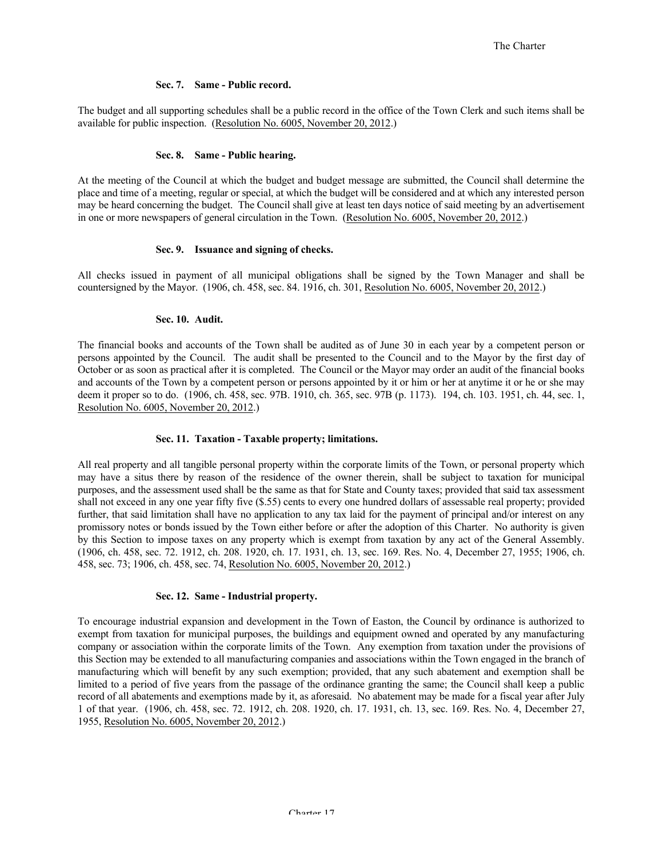#### **Sec. 7. Same - Public record.**

The budget and all supporting schedules shall be a public record in the office of the Town Clerk and such items shall be available for public inspection. (Resolution No. 6005, November 20, 2012.)

#### **Sec. 8. Same - Public hearing.**

At the meeting of the Council at which the budget and budget message are submitted, the Council shall determine the place and time of a meeting, regular or special, at which the budget will be considered and at which any interested person may be heard concerning the budget. The Council shall give at least ten days notice of said meeting by an advertisement in one or more newspapers of general circulation in the Town. (Resolution No. 6005, November 20, 2012.)

#### **Sec. 9. Issuance and signing of checks.**

All checks issued in payment of all municipal obligations shall be signed by the Town Manager and shall be countersigned by the Mayor. (1906, ch. 458, sec. 84. 1916, ch. 301, Resolution No. 6005, November 20, 2012.)

#### **Sec. 10. Audit.**

The financial books and accounts of the Town shall be audited as of June 30 in each year by a competent person or persons appointed by the Council. The audit shall be presented to the Council and to the Mayor by the first day of October or as soon as practical after it is completed. The Council or the Mayor may order an audit of the financial books and accounts of the Town by a competent person or persons appointed by it or him or her at anytime it or he or she may deem it proper so to do. (1906, ch. 458, sec. 97B. 1910, ch. 365, sec. 97B (p. 1173). 194, ch. 103. 1951, ch. 44, sec. 1, Resolution No. 6005, November 20, 2012.)

#### **Sec. 11. Taxation - Taxable property; limitations.**

All real property and all tangible personal property within the corporate limits of the Town, or personal property which may have a situs there by reason of the residence of the owner therein, shall be subject to taxation for municipal purposes, and the assessment used shall be the same as that for State and County taxes; provided that said tax assessment shall not exceed in any one year fifty five (\$.55) cents to every one hundred dollars of assessable real property; provided further, that said limitation shall have no application to any tax laid for the payment of principal and/or interest on any promissory notes or bonds issued by the Town either before or after the adoption of this Charter. No authority is given by this Section to impose taxes on any property which is exempt from taxation by any act of the General Assembly. (1906, ch. 458, sec. 72. 1912, ch. 208. 1920, ch. 17. 1931, ch. 13, sec. 169. Res. No. 4, December 27, 1955; 1906, ch. 458, sec. 73; 1906, ch. 458, sec. 74, Resolution No. 6005, November 20, 2012.)

#### **Sec. 12. Same - Industrial property.**

To encourage industrial expansion and development in the Town of Easton, the Council by ordinance is authorized to exempt from taxation for municipal purposes, the buildings and equipment owned and operated by any manufacturing company or association within the corporate limits of the Town. Any exemption from taxation under the provisions of this Section may be extended to all manufacturing companies and associations within the Town engaged in the branch of manufacturing which will benefit by any such exemption; provided, that any such abatement and exemption shall be limited to a period of five years from the passage of the ordinance granting the same; the Council shall keep a public record of all abatements and exemptions made by it, as aforesaid. No abatement may be made for a fiscal year after July 1 of that year. (1906, ch. 458, sec. 72. 1912, ch. 208. 1920, ch. 17. 1931, ch. 13, sec. 169. Res. No. 4, December 27, 1955, Resolution No. 6005, November 20, 2012.)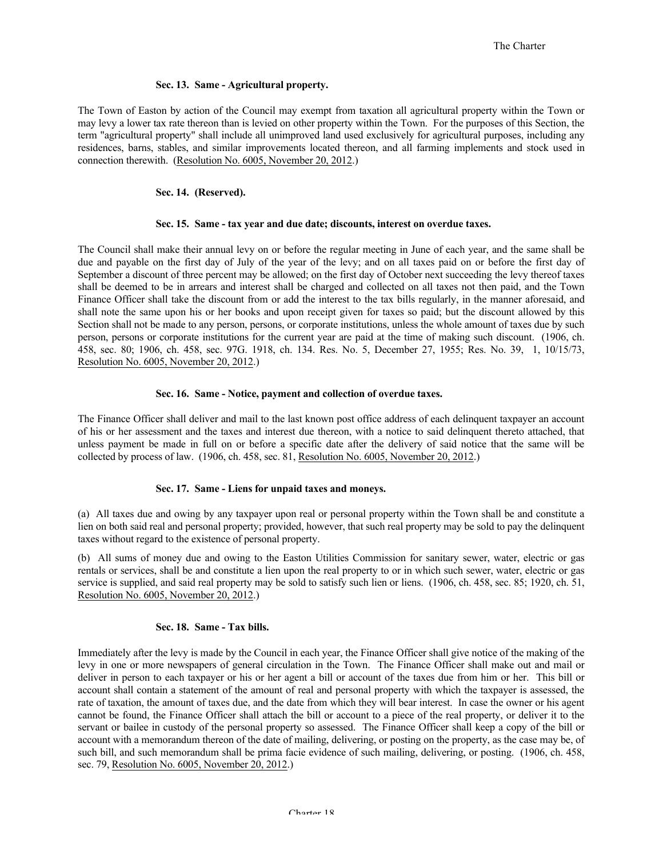#### **Sec. 13. Same - Agricultural property.**

The Town of Easton by action of the Council may exempt from taxation all agricultural property within the Town or may levy a lower tax rate thereon than is levied on other property within the Town. For the purposes of this Section, the term "agricultural property" shall include all unimproved land used exclusively for agricultural purposes, including any residences, barns, stables, and similar improvements located thereon, and all farming implements and stock used in connection therewith. (Resolution No. 6005, November 20, 2012.)

#### **Sec. 14. (Reserved).**

#### **Sec. 15. Same - tax year and due date; discounts, interest on overdue taxes.**

The Council shall make their annual levy on or before the regular meeting in June of each year, and the same shall be due and payable on the first day of July of the year of the levy; and on all taxes paid on or before the first day of September a discount of three percent may be allowed; on the first day of October next succeeding the levy thereof taxes shall be deemed to be in arrears and interest shall be charged and collected on all taxes not then paid, and the Town Finance Officer shall take the discount from or add the interest to the tax bills regularly, in the manner aforesaid, and shall note the same upon his or her books and upon receipt given for taxes so paid; but the discount allowed by this Section shall not be made to any person, persons, or corporate institutions, unless the whole amount of taxes due by such person, persons or corporate institutions for the current year are paid at the time of making such discount. (1906, ch. 458, sec. 80; 1906, ch. 458, sec. 97G. 1918, ch. 134. Res. No. 5, December 27, 1955; Res. No. 39, 1, 10/15/73, Resolution No. 6005, November 20, 2012.)

#### **Sec. 16. Same - Notice, payment and collection of overdue taxes.**

The Finance Officer shall deliver and mail to the last known post office address of each delinquent taxpayer an account of his or her assessment and the taxes and interest due thereon, with a notice to said delinquent thereto attached, that unless payment be made in full on or before a specific date after the delivery of said notice that the same will be collected by process of law. (1906, ch. 458, sec. 81, Resolution No. 6005, November 20, 2012.)

#### **Sec. 17. Same - Liens for unpaid taxes and moneys.**

(a) All taxes due and owing by any taxpayer upon real or personal property within the Town shall be and constitute a lien on both said real and personal property; provided, however, that such real property may be sold to pay the delinquent taxes without regard to the existence of personal property.

(b) All sums of money due and owing to the Easton Utilities Commission for sanitary sewer, water, electric or gas rentals or services, shall be and constitute a lien upon the real property to or in which such sewer, water, electric or gas service is supplied, and said real property may be sold to satisfy such lien or liens. (1906, ch. 458, sec. 85; 1920, ch. 51, Resolution No. 6005, November 20, 2012.)

#### **Sec. 18. Same - Tax bills.**

Immediately after the levy is made by the Council in each year, the Finance Officer shall give notice of the making of the levy in one or more newspapers of general circulation in the Town. The Finance Officer shall make out and mail or deliver in person to each taxpayer or his or her agent a bill or account of the taxes due from him or her. This bill or account shall contain a statement of the amount of real and personal property with which the taxpayer is assessed, the rate of taxation, the amount of taxes due, and the date from which they will bear interest. In case the owner or his agent cannot be found, the Finance Officer shall attach the bill or account to a piece of the real property, or deliver it to the servant or bailee in custody of the personal property so assessed. The Finance Officer shall keep a copy of the bill or account with a memorandum thereon of the date of mailing, delivering, or posting on the property, as the case may be, of such bill, and such memorandum shall be prima facie evidence of such mailing, delivering, or posting. (1906, ch. 458, sec. 79, Resolution No. 6005, November 20, 2012.)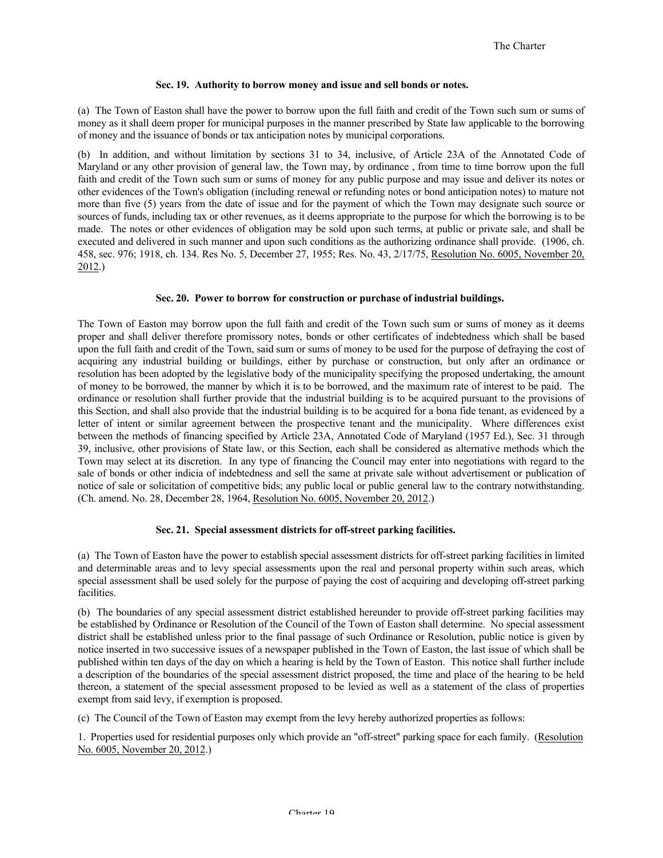#### **Sec. 19. Authority to borrow money and issue and sell bonds or notes.**

(a) The Town of Easton shall have the power to borrow upon the full faith and credit of the Town such sum or sums of money as it shall deem proper for municipal purposes in the manner prescribed by State law applicable to the borrowing of money and the issuance of bonds or tax anticipation notes by municipal corporations.

(b) In addition, and without limitation by sections 31 to 34, inclusive, of Article 23A of the Annotated Code of Maryland or any other provision of general law, the Town may, by ordinance , from time to time borrow upon the full faith and credit of the Town such sum or sums of money for any public purpose and may issue and deliver its notes or other evidences of the Town's obligation (including renewal or refunding notes or bond anticipation notes) to mature not more than five (5) years from the date of issue and for the payment of which the Town may designate such source or sources of funds, including tax or other revenues, as it deems appropriate to the purpose for which the borrowing is to be made. The notes or other evidences of obligation may be sold upon such terms, at public or private sale, and shall be executed and delivered in such manner and upon such conditions as the authorizing ordinance shall provide. (1906, ch. 458, sec. 976; 1918, ch. 134. Res No. 5, December 27, 1955; Res. No. 43, 2/17/75, Resolution No. 6005, November 20, 2012.)

#### **Sec. 20. Power to borrow for construction or purchase of industrial buildings.**

The Town of Easton may borrow upon the full faith and credit of the Town such sum or sums of money as it deems proper and shall deliver therefore promissory notes, bonds or other certificates of indebtedness which shall be based upon the full faith and credit of the Town, said sum or sums of money to be used for the purpose of defraying the cost of acquiring any industrial building or buildings, either by purchase or construction, but only after an ordinance or resolution has been adopted by the legislative body of the municipality specifying the proposed undertaking, the amount of money to be borrowed, the manner by which it is to be borrowed, and the maximum rate of interest to be paid. The ordinance or resolution shall further provide that the industrial building is to be acquired pursuant to the provisions of this Section, and shall also provide that the industrial building is to be acquired for a bona fide tenant, as evidenced by a letter of intent or similar agreement between the prospective tenant and the municipality. Where differences exist between the methods of financing specified by Article 23A, Annotated Code of Maryland (1957 Ed.), Sec. 31 through 39, inclusive, other provisions of State law, or this Section, each shall be considered as alternative methods which the Town may select at its discretion. In any type of financing the Council may enter into negotiations with regard to the sale of bonds or other indicia of indebtedness and sell the same at private sale without advertisement or publication of notice of sale or solicitation of competitive bids; any public local or public general law to the contrary notwithstanding. (Ch. amend. No. 28, December 28, 1964, Resolution No. 6005, November 20, 2012.)

#### **Sec. 21. Special assessment districts for off-street parking facilities.**

(a) The Town of Easton have the power to establish special assessment districts for off-street parking facilities in limited and determinable areas and to levy special assessments upon the real and personal property within such areas, which special assessment shall be used solely for the purpose of paying the cost of acquiring and developing off-street parking **facilities** 

(b) The boundaries of any special assessment district established hereunder to provide off-street parking facilities may be established by Ordinance or Resolution of the Council of the Town of Easton shall determine. No special assessment district shall be established unless prior to the final passage of such Ordinance or Resolution, public notice is given by notice inserted in two successive issues of a newspaper published in the Town of Easton, the last issue of which shall be published within ten days of the day on which a hearing is held by the Town of Easton. This notice shall further include a description of the boundaries of the special assessment district proposed, the time and place of the hearing to be held thereon, a statement of the special assessment proposed to be levied as well as a statement of the class of properties exempt from said levy, if exemption is proposed.

(c) The Council of the Town of Easton may exempt from the levy hereby authorized properties as follows:

1. Properties used for residential purposes only which provide an "off-street" parking space for each family. (Resolution No. 6005, November 20, 2012.)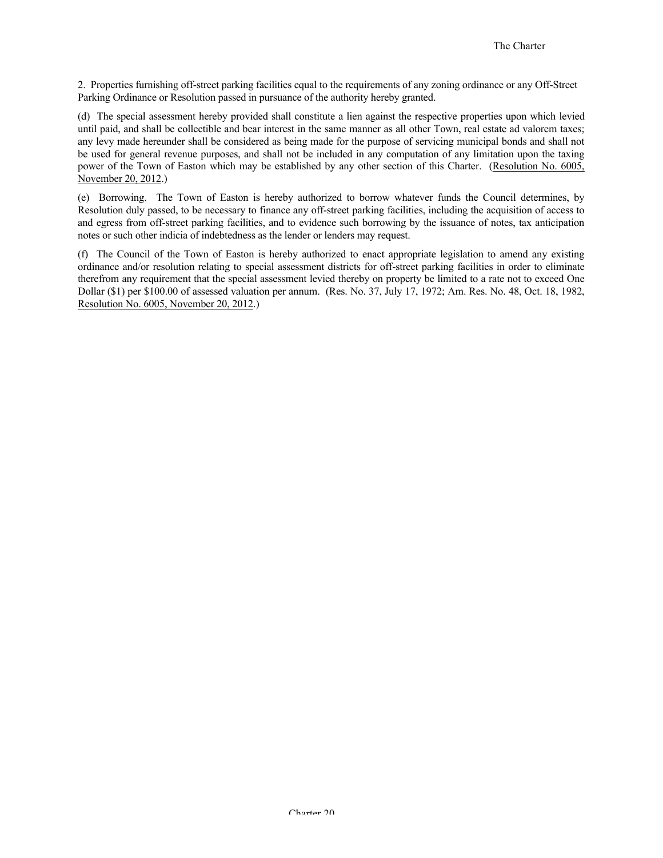2. Properties furnishing off-street parking facilities equal to the requirements of any zoning ordinance or any Off-Street Parking Ordinance or Resolution passed in pursuance of the authority hereby granted.

(d) The special assessment hereby provided shall constitute a lien against the respective properties upon which levied until paid, and shall be collectible and bear interest in the same manner as all other Town, real estate ad valorem taxes; any levy made hereunder shall be considered as being made for the purpose of servicing municipal bonds and shall not be used for general revenue purposes, and shall not be included in any computation of any limitation upon the taxing power of the Town of Easton which may be established by any other section of this Charter. (Resolution No. 6005, November 20, 2012.)

(e) Borrowing. The Town of Easton is hereby authorized to borrow whatever funds the Council determines, by Resolution duly passed, to be necessary to finance any off-street parking facilities, including the acquisition of access to and egress from off-street parking facilities, and to evidence such borrowing by the issuance of notes, tax anticipation notes or such other indicia of indebtedness as the lender or lenders may request.

(f) The Council of the Town of Easton is hereby authorized to enact appropriate legislation to amend any existing ordinance and/or resolution relating to special assessment districts for off-street parking facilities in order to eliminate therefrom any requirement that the special assessment levied thereby on property be limited to a rate not to exceed One Dollar (\$1) per \$100.00 of assessed valuation per annum. (Res. No. 37, July 17, 1972; Am. Res. No. 48, Oct. 18, 1982, Resolution No. 6005, November 20, 2012.)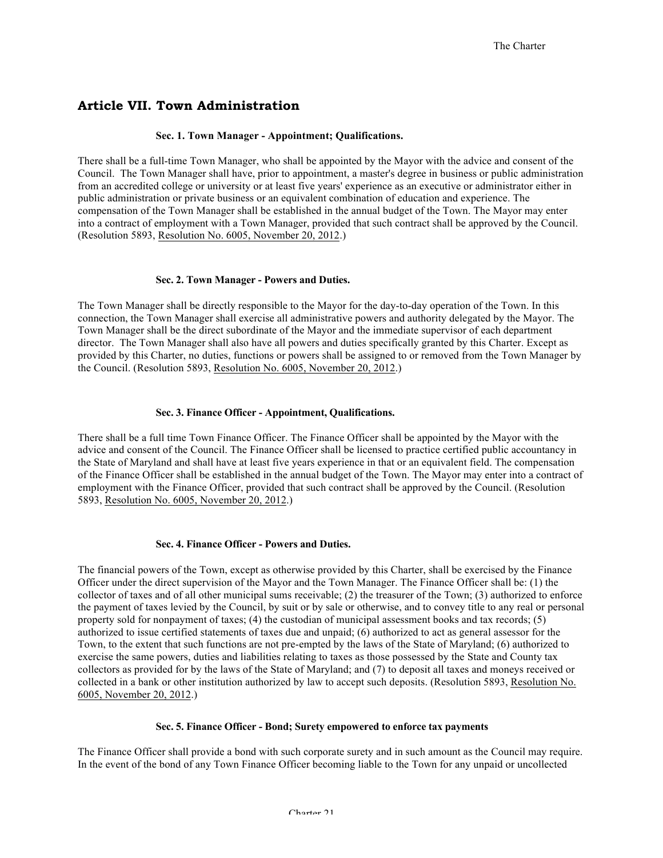## **Article VII. Town Administration**

#### **Sec. 1. Town Manager - Appointment; Qualifications.**

There shall be a full-time Town Manager, who shall be appointed by the Mayor with the advice and consent of the Council. The Town Manager shall have, prior to appointment, a master's degree in business or public administration from an accredited college or university or at least five years' experience as an executive or administrator either in public administration or private business or an equivalent combination of education and experience. The compensation of the Town Manager shall be established in the annual budget of the Town. The Mayor may enter into a contract of employment with a Town Manager, provided that such contract shall be approved by the Council. (Resolution 5893, Resolution No. 6005, November 20, 2012.)

#### **Sec. 2. Town Manager - Powers and Duties.**

The Town Manager shall be directly responsible to the Mayor for the day-to-day operation of the Town. In this connection, the Town Manager shall exercise all administrative powers and authority delegated by the Mayor. The Town Manager shall be the direct subordinate of the Mayor and the immediate supervisor of each department director. The Town Manager shall also have all powers and duties specifically granted by this Charter. Except as provided by this Charter, no duties, functions or powers shall be assigned to or removed from the Town Manager by the Council. (Resolution 5893, Resolution No. 6005, November 20, 2012.)

#### **Sec. 3. Finance Officer - Appointment, Qualifications.**

There shall be a full time Town Finance Officer. The Finance Officer shall be appointed by the Mayor with the advice and consent of the Council. The Finance Officer shall be licensed to practice certified public accountancy in the State of Maryland and shall have at least five years experience in that or an equivalent field. The compensation of the Finance Officer shall be established in the annual budget of the Town. The Mayor may enter into a contract of employment with the Finance Officer, provided that such contract shall be approved by the Council. (Resolution 5893, Resolution No. 6005, November 20, 2012.)

#### **Sec. 4. Finance Officer - Powers and Duties.**

The financial powers of the Town, except as otherwise provided by this Charter, shall be exercised by the Finance Officer under the direct supervision of the Mayor and the Town Manager. The Finance Officer shall be: (1) the collector of taxes and of all other municipal sums receivable; (2) the treasurer of the Town; (3) authorized to enforce the payment of taxes levied by the Council, by suit or by sale or otherwise, and to convey title to any real or personal property sold for nonpayment of taxes; (4) the custodian of municipal assessment books and tax records; (5) authorized to issue certified statements of taxes due and unpaid; (6) authorized to act as general assessor for the Town, to the extent that such functions are not pre-empted by the laws of the State of Maryland; (6) authorized to exercise the same powers, duties and liabilities relating to taxes as those possessed by the State and County tax collectors as provided for by the laws of the State of Maryland; and (7) to deposit all taxes and moneys received or collected in a bank or other institution authorized by law to accept such deposits. (Resolution 5893, Resolution No. 6005, November 20, 2012.)

#### **Sec. 5. Finance Officer - Bond; Surety empowered to enforce tax payments**

The Finance Officer shall provide a bond with such corporate surety and in such amount as the Council may require. In the event of the bond of any Town Finance Officer becoming liable to the Town for any unpaid or uncollected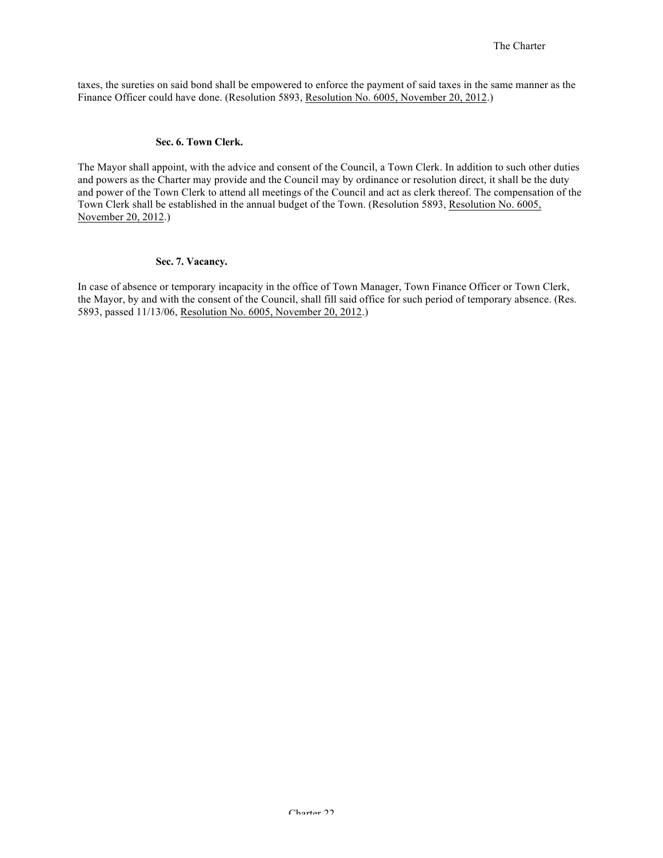taxes, the sureties on said bond shall be empowered to enforce the payment of said taxes in the same manner as the Finance Officer could have done. (Resolution 5893, Resolution No. 6005, November 20, 2012.)

#### **Sec. 6. Town Clerk.**

The Mayor shall appoint, with the advice and consent of the Council, a Town Clerk. In addition to such other duties and powers as the Charter may provide and the Council may by ordinance or resolution direct, it shall be the duty and power of the Town Clerk to attend all meetings of the Council and act as clerk thereof. The compensation of the Town Clerk shall be established in the annual budget of the Town. (Resolution 5893, Resolution No. 6005, November 20, 2012.)

#### **Sec. 7. Vacancy.**

In case of absence or temporary incapacity in the office of Town Manager, Town Finance Officer or Town Clerk, the Mayor, by and with the consent of the Council, shall fill said office for such period of temporary absence. (Res. 5893, passed 11/13/06, Resolution No. 6005, November 20, 2012.)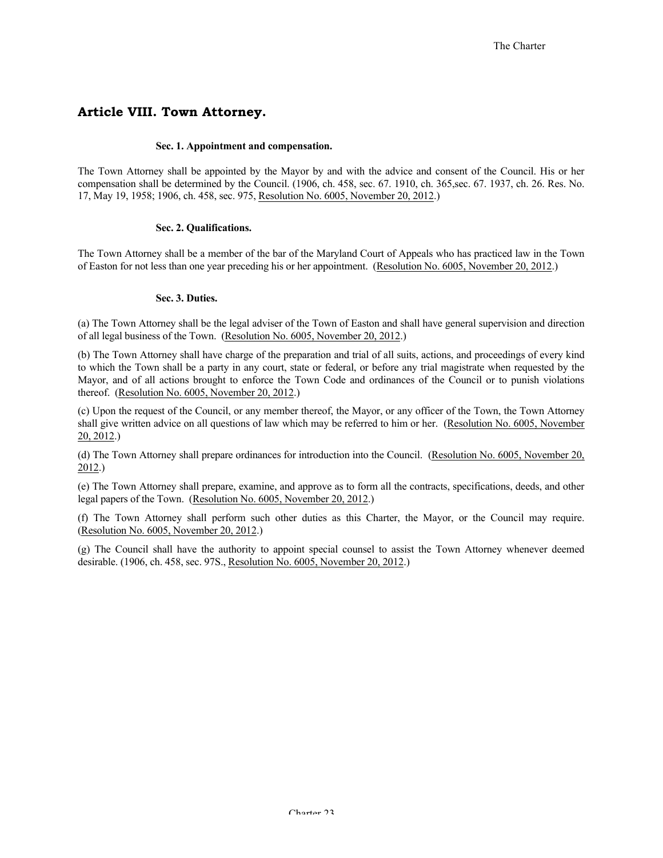## **Article VIII. Town Attorney.**

#### **Sec. 1. Appointment and compensation.**

The Town Attorney shall be appointed by the Mayor by and with the advice and consent of the Council. His or her compensation shall be determined by the Council. (1906, ch. 458, sec. 67. 1910, ch. 365,sec. 67. 1937, ch. 26. Res. No. 17, May 19, 1958; 1906, ch. 458, sec. 975, Resolution No. 6005, November 20, 2012.)

#### **Sec. 2. Qualifications.**

The Town Attorney shall be a member of the bar of the Maryland Court of Appeals who has practiced law in the Town of Easton for not less than one year preceding his or her appointment. (Resolution No. 6005, November 20, 2012.)

#### **Sec. 3. Duties.**

(a) The Town Attorney shall be the legal adviser of the Town of Easton and shall have general supervision and direction of all legal business of the Town. (Resolution No. 6005, November 20, 2012.)

(b) The Town Attorney shall have charge of the preparation and trial of all suits, actions, and proceedings of every kind to which the Town shall be a party in any court, state or federal, or before any trial magistrate when requested by the Mayor, and of all actions brought to enforce the Town Code and ordinances of the Council or to punish violations thereof. (Resolution No. 6005, November 20, 2012.)

(c) Upon the request of the Council, or any member thereof, the Mayor, or any officer of the Town, the Town Attorney shall give written advice on all questions of law which may be referred to him or her. (Resolution No. 6005, November 20, 2012.)

(d) The Town Attorney shall prepare ordinances for introduction into the Council. (Resolution No. 6005, November 20, 2012.)

(e) The Town Attorney shall prepare, examine, and approve as to form all the contracts, specifications, deeds, and other legal papers of the Town. (Resolution No. 6005, November 20, 2012.)

(f) The Town Attorney shall perform such other duties as this Charter, the Mayor, or the Council may require. (Resolution No. 6005, November 20, 2012.)

(g) The Council shall have the authority to appoint special counsel to assist the Town Attorney whenever deemed desirable. (1906, ch. 458, sec. 97S., Resolution No. 6005, November 20, 2012.)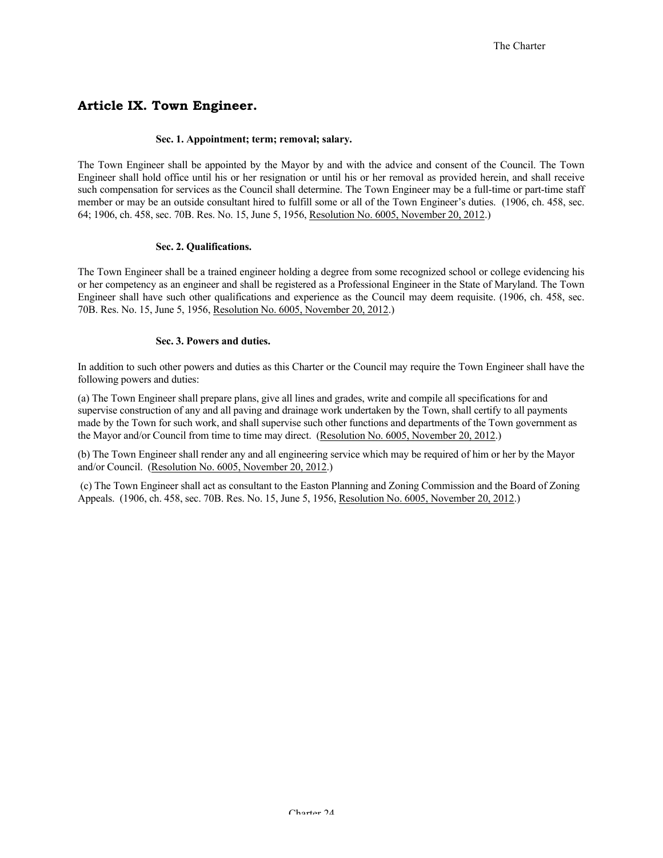## **Article IX. Town Engineer.**

#### **Sec. 1. Appointment; term; removal; salary.**

The Town Engineer shall be appointed by the Mayor by and with the advice and consent of the Council. The Town Engineer shall hold office until his or her resignation or until his or her removal as provided herein, and shall receive such compensation for services as the Council shall determine. The Town Engineer may be a full-time or part-time staff member or may be an outside consultant hired to fulfill some or all of the Town Engineer's duties. (1906, ch. 458, sec. 64; 1906, ch. 458, sec. 70B. Res. No. 15, June 5, 1956, Resolution No. 6005, November 20, 2012.)

#### **Sec. 2. Qualifications.**

The Town Engineer shall be a trained engineer holding a degree from some recognized school or college evidencing his or her competency as an engineer and shall be registered as a Professional Engineer in the State of Maryland. The Town Engineer shall have such other qualifications and experience as the Council may deem requisite. (1906, ch. 458, sec. 70B. Res. No. 15, June 5, 1956, Resolution No. 6005, November 20, 2012.)

#### **Sec. 3. Powers and duties.**

In addition to such other powers and duties as this Charter or the Council may require the Town Engineer shall have the following powers and duties:

(a) The Town Engineer shall prepare plans, give all lines and grades, write and compile all specifications for and supervise construction of any and all paving and drainage work undertaken by the Town, shall certify to all payments made by the Town for such work, and shall supervise such other functions and departments of the Town government as the Mayor and/or Council from time to time may direct. (Resolution No. 6005, November 20, 2012.)

(b) The Town Engineer shall render any and all engineering service which may be required of him or her by the Mayor and/or Council. (Resolution No. 6005, November 20, 2012.)

(c) The Town Engineer shall act as consultant to the Easton Planning and Zoning Commission and the Board of Zoning Appeals. (1906, ch. 458, sec. 70B. Res. No. 15, June 5, 1956, Resolution No. 6005, November 20, 2012.)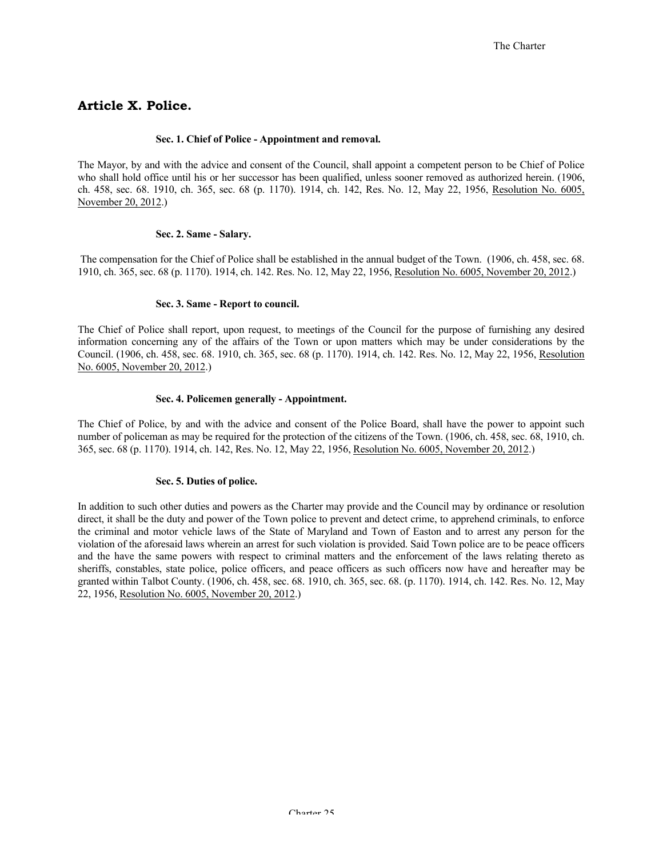## **Article X. Police.**

#### **Sec. 1. Chief of Police - Appointment and removal.**

The Mayor, by and with the advice and consent of the Council, shall appoint a competent person to be Chief of Police who shall hold office until his or her successor has been qualified, unless sooner removed as authorized herein. (1906, ch. 458, sec. 68. 1910, ch. 365, sec. 68 (p. 1170). 1914, ch. 142, Res. No. 12, May 22, 1956, Resolution No. 6005, November 20, 2012.)

#### **Sec. 2. Same - Salary.**

The compensation for the Chief of Police shall be established in the annual budget of the Town. (1906, ch. 458, sec. 68. 1910, ch. 365, sec. 68 (p. 1170). 1914, ch. 142. Res. No. 12, May 22, 1956, Resolution No. 6005, November 20, 2012.)

## **Sec. 3. Same - Report to council.**

The Chief of Police shall report, upon request, to meetings of the Council for the purpose of furnishing any desired information concerning any of the affairs of the Town or upon matters which may be under considerations by the Council. (1906, ch. 458, sec. 68. 1910, ch. 365, sec. 68 (p. 1170). 1914, ch. 142. Res. No. 12, May 22, 1956, Resolution No. 6005, November 20, 2012.)

#### **Sec. 4. Policemen generally - Appointment.**

The Chief of Police, by and with the advice and consent of the Police Board, shall have the power to appoint such number of policeman as may be required for the protection of the citizens of the Town. (1906, ch. 458, sec. 68, 1910, ch. 365, sec. 68 (p. 1170). 1914, ch. 142, Res. No. 12, May 22, 1956, Resolution No. 6005, November 20, 2012.)

#### **Sec. 5. Duties of police.**

In addition to such other duties and powers as the Charter may provide and the Council may by ordinance or resolution direct, it shall be the duty and power of the Town police to prevent and detect crime, to apprehend criminals, to enforce the criminal and motor vehicle laws of the State of Maryland and Town of Easton and to arrest any person for the violation of the aforesaid laws wherein an arrest for such violation is provided. Said Town police are to be peace officers and the have the same powers with respect to criminal matters and the enforcement of the laws relating thereto as sheriffs, constables, state police, police officers, and peace officers as such officers now have and hereafter may be granted within Talbot County. (1906, ch. 458, sec. 68. 1910, ch. 365, sec. 68. (p. 1170). 1914, ch. 142. Res. No. 12, May 22, 1956, Resolution No. 6005, November 20, 2012.)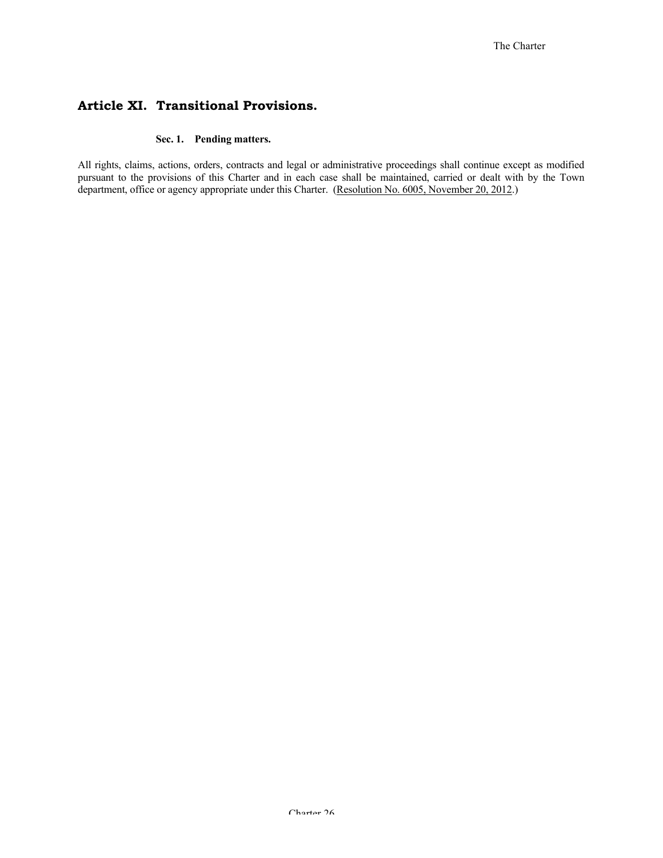## **Article XI. Transitional Provisions.**

#### **Sec. 1. Pending matters.**

All rights, claims, actions, orders, contracts and legal or administrative proceedings shall continue except as modified pursuant to the provisions of this Charter and in each case shall be maintained, carried or dealt with by the Town department, office or agency appropriate under this Charter. (Resolution No. 6005, November 20, 2012.)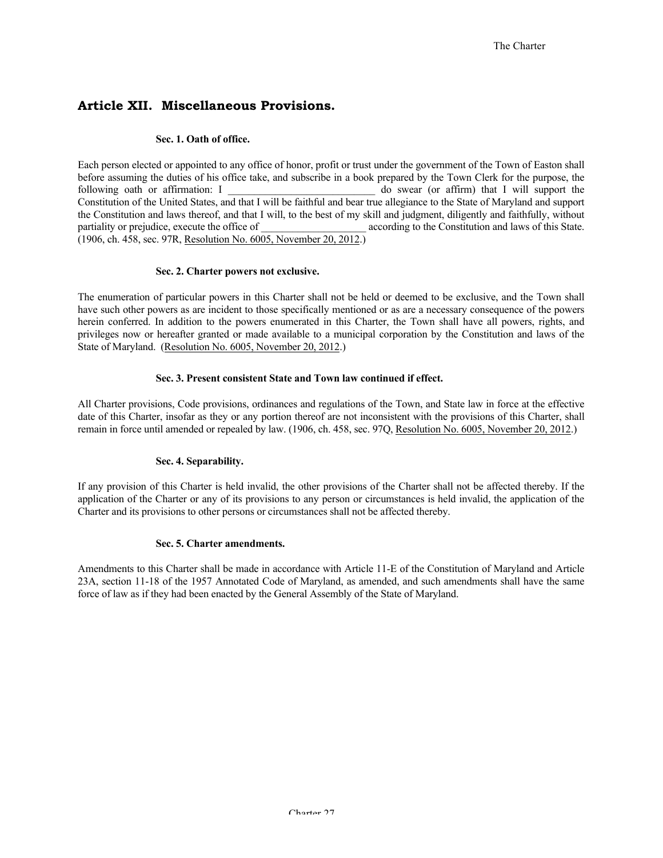## **Article XII. Miscellaneous Provisions.**

#### **Sec. 1. Oath of office.**

Each person elected or appointed to any office of honor, profit or trust under the government of the Town of Easton shall before assuming the duties of his office take, and subscribe in a book prepared by the Town Clerk for the purpose, the following oath or affirmation: I \_\_\_\_\_\_\_\_\_\_\_\_\_\_\_\_\_\_\_\_\_\_\_\_\_\_\_\_\_ do swear (or affirm) that I will support the Constitution of the United States, and that I will be faithful and bear true allegiance to the State of Maryland and support the Constitution and laws thereof, and that I will, to the best of my skill and judgment, diligently and faithfully, without partiality or prejudice, execute the office of \_\_\_\_\_\_\_\_\_\_\_\_\_\_\_ according to the Constitution and laws of this State. (1906, ch. 458, sec. 97R, Resolution No. 6005, November 20, 2012.)

#### **Sec. 2. Charter powers not exclusive.**

The enumeration of particular powers in this Charter shall not be held or deemed to be exclusive, and the Town shall have such other powers as are incident to those specifically mentioned or as are a necessary consequence of the powers herein conferred. In addition to the powers enumerated in this Charter, the Town shall have all powers, rights, and privileges now or hereafter granted or made available to a municipal corporation by the Constitution and laws of the State of Maryland. (Resolution No. 6005, November 20, 2012.)

## **Sec. 3. Present consistent State and Town law continued if effect.**

All Charter provisions, Code provisions, ordinances and regulations of the Town, and State law in force at the effective date of this Charter, insofar as they or any portion thereof are not inconsistent with the provisions of this Charter, shall remain in force until amended or repealed by law. (1906, ch. 458, sec. 97Q, Resolution No. 6005, November 20, 2012.)

## **Sec. 4. Separability.**

If any provision of this Charter is held invalid, the other provisions of the Charter shall not be affected thereby. If the application of the Charter or any of its provisions to any person or circumstances is held invalid, the application of the Charter and its provisions to other persons or circumstances shall not be affected thereby.

#### **Sec. 5. Charter amendments.**

Amendments to this Charter shall be made in accordance with Article 11-E of the Constitution of Maryland and Article 23A, section 11-18 of the 1957 Annotated Code of Maryland, as amended, and such amendments shall have the same force of law as if they had been enacted by the General Assembly of the State of Maryland.